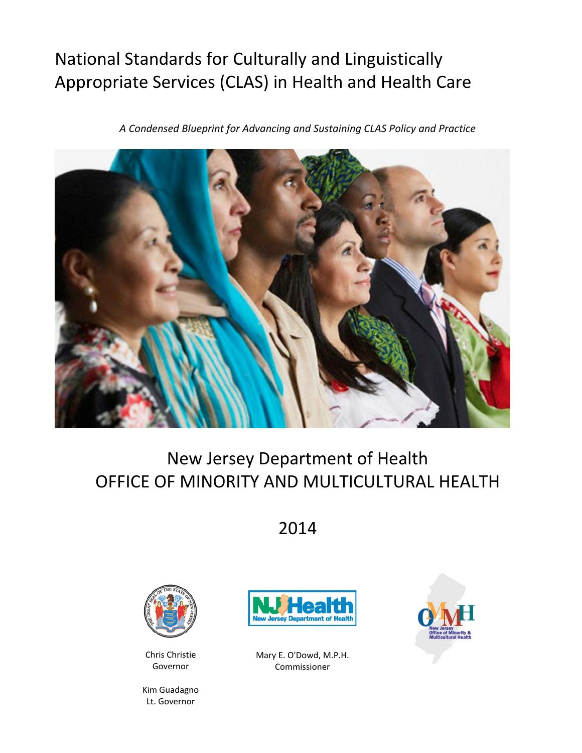## National Standards for Culturally and Linguistically Appropriate Services (CLAS) in Health and Health Care

*A Condensed Blueprint for Advancing and Sustaining CLAS Policy and Practice*



# New Jersey Department of Health OFFICE OF MINORITY AND MULTICULTURAL HEALTH

2014



Chris Christie Governor

Kim Guadagno Lt. Governor



Mary E. O'Dowd, M.P.H. Commissioner

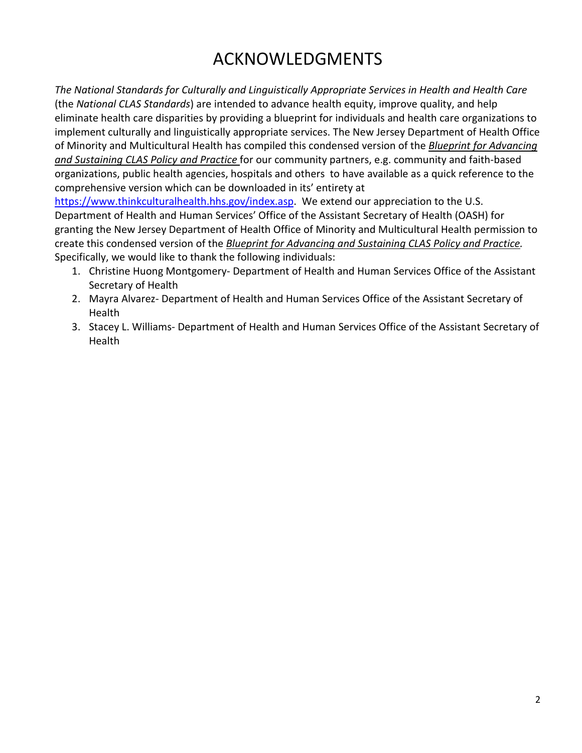## ACKNOWLEDGMENTS

*The National Standards for Culturally and Linguistically Appropriate Services in Health and Health Care* (the *National CLAS Standards*) are intended to advance health equity, improve quality, and help eliminate health care disparities by providing a blueprint for individuals and health care organizations to implement culturally and linguistically appropriate services. The New Jersey Department of Health Office of Minority and Multicultural Health has compiled this condensed version of the *Blueprint for Advancing and Sustaining CLAS Policy and Practice* for our community partners, e.g. community and faith-based organizations, public health agencies, hospitals and others to have available as a quick reference to the comprehensive version which can be downloaded in its' entirety at

[https://www.thinkculturalhealth.hhs.gov/index.asp.](https://www.thinkculturalhealth.hhs.gov/index.asp) We extend our appreciation to the U.S. Department of Health and Human Services' Office of the Assistant Secretary of Health (OASH) for granting the New Jersey Department of Health Office of Minority and Multicultural Health permission to create this condensed version of the *Blueprint for Advancing and Sustaining CLAS Policy and Practice.* Specifically, we would like to thank the following individuals:

- 1. Christine Huong Montgomery- Department of Health and Human Services Office of the Assistant Secretary of Health
- 2. Mayra Alvarez- Department of Health and Human Services Office of the Assistant Secretary of **Health**
- 3. Stacey L. Williams- Department of Health and Human Services Office of the Assistant Secretary of Health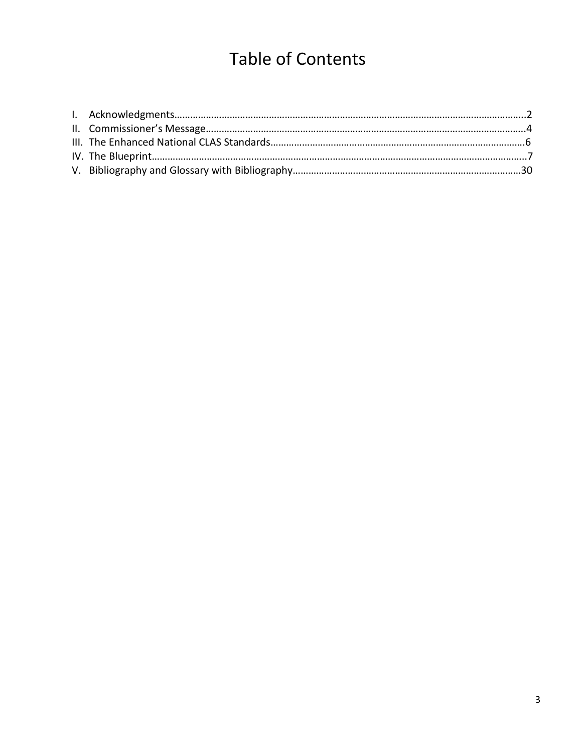# Table of Contents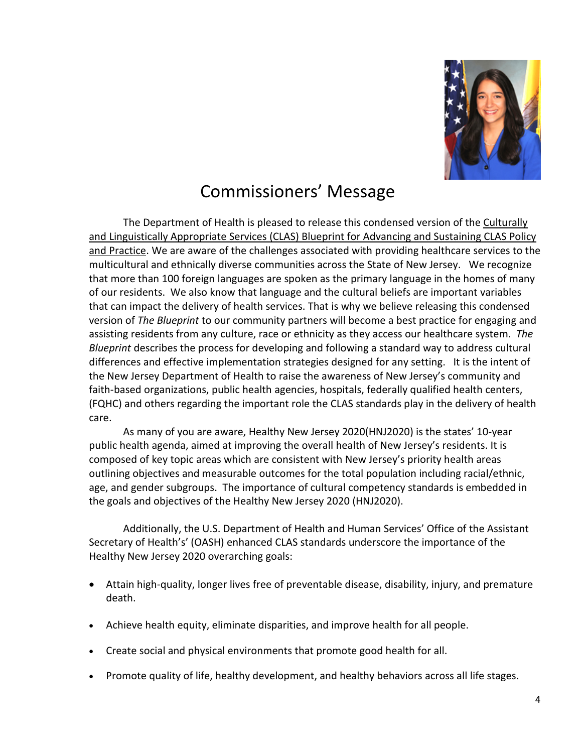

## Commissioners' Message

The Department of Health is pleased to release this condensed version of the Culturally and Linguistically Appropriate Services (CLAS) Blueprint for Advancing and Sustaining CLAS Policy and Practice. We are aware of the challenges associated with providing healthcare services to the multicultural and ethnically diverse communities across the State of New Jersey. We recognize that more than 100 foreign languages are spoken as the primary language in the homes of many of our residents. We also know that language and the cultural beliefs are important variables that can impact the delivery of health services. That is why we believe releasing this condensed version of *The Blueprint* to our community partners will become a best practice for engaging and assisting residents from any culture, race or ethnicity as they access our healthcare system. *The Blueprint* describes the process for developing and following a standard way to address cultural differences and effective implementation strategies designed for any setting. It is the intent of the New Jersey Department of Health to raise the awareness of New Jersey's community and faith-based organizations, public health agencies, hospitals, federally qualified health centers, (FQHC) and others regarding the important role the CLAS standards play in the delivery of health care.

As many of you are aware, Healthy New Jersey 2020(HNJ2020) is the states' 10-year public health agenda, aimed at improving the overall health of New Jersey's residents. It is composed of key topic areas which are consistent with New Jersey's priority health areas outlining objectives and measurable outcomes for the total population including racial/ethnic, age, and gender subgroups. The importance of cultural competency standards is embedded in the goals and objectives of the Healthy New Jersey 2020 (HNJ2020).

Additionally, the U.S. Department of Health and Human Services' Office of the Assistant Secretary of Health's' (OASH) enhanced CLAS standards underscore the importance of the Healthy New Jersey 2020 overarching goals:

- Attain high-quality, longer lives free of preventable disease, disability, injury, and premature death.
- Achieve health equity, eliminate disparities, and improve health for all people.
- Create social and physical environments that promote good health for all.
- Promote quality of life, healthy development, and healthy behaviors across all life stages.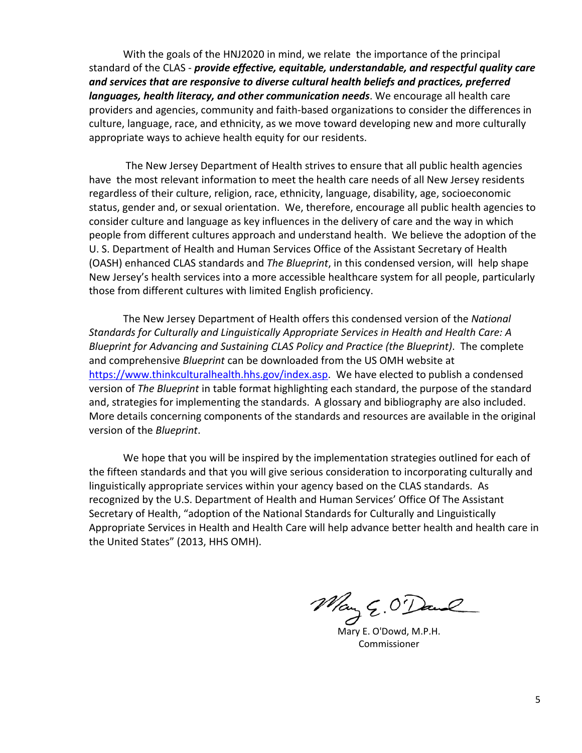With the goals of the HNJ2020 in mind, we relate the importance of the principal standard of the CLAS - *provide effective, equitable, understandable, and respectful quality care and services that are responsive to diverse cultural health beliefs and practices, preferred languages, health literacy, and other communication needs*. We encourage all health care providers and agencies, community and faith-based organizations to consider the differences in culture, language, race, and ethnicity, as we move toward developing new and more culturally appropriate ways to achieve health equity for our residents.

The New Jersey Department of Health strives to ensure that all public health agencies have the most relevant information to meet the health care needs of all New Jersey residents regardless of their culture, religion, race, ethnicity, language, disability, age, socioeconomic status, gender and, or sexual orientation. We, therefore, encourage all public health agencies to consider culture and language as key influences in the delivery of care and the way in which people from different cultures approach and understand health. We believe the adoption of the U. S. Department of Health and Human Services Office of the Assistant Secretary of Health (OASH) enhanced CLAS standards and *The Blueprint*, in this condensed version, will help shape New Jersey's health services into a more accessible healthcare system for all people, particularly those from different cultures with limited English proficiency.

The New Jersey Department of Health offers this condensed version of the *National Standards for Culturally and Linguistically Appropriate Services in Health and Health Care: A Blueprint for Advancing and Sustaining CLAS Policy and Practice (the Blueprint)*. The complete and comprehensive *Blueprint* can be downloaded from the US OMH website at [https://www.thinkculturalhealth.hhs.gov/index.asp.](https://www.thinkculturalhealth.hhs.gov/index.asp) We have elected to publish a condensed version of *The Blueprint* in table format highlighting each standard, the purpose of the standard and, strategies for implementing the standards. A glossary and bibliography are also included. More details concerning components of the standards and resources are available in the original version of the *Blueprint*.

We hope that you will be inspired by the implementation strategies outlined for each of the fifteen standards and that you will give serious consideration to incorporating culturally and linguistically appropriate services within your agency based on the CLAS standards. As recognized by the U.S. Department of Health and Human Services' Office Of The Assistant Secretary of Health, "adoption of the National Standards for Culturally and Linguistically Appropriate Services in Health and Health Care will help advance better health and health care in the United States" (2013, HHS OMH).

Mary E. O'Dowd, M.P.H.

Commissioner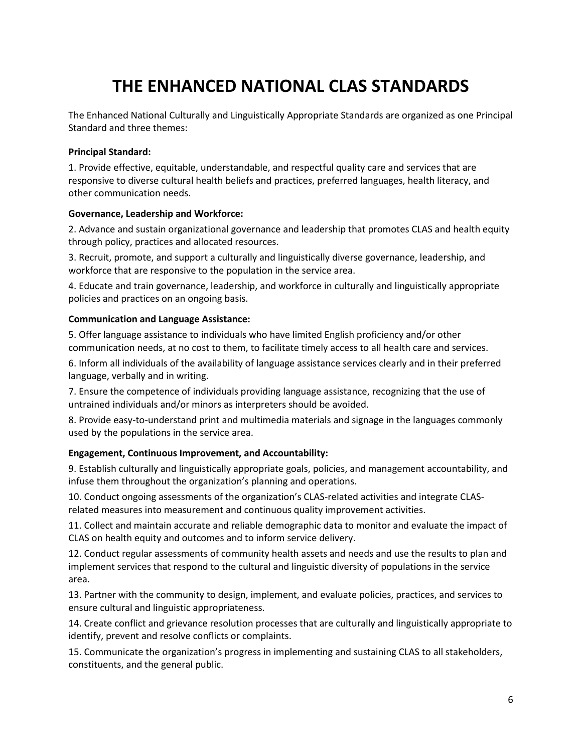## **THE ENHANCED NATIONAL CLAS STANDARDS**

The Enhanced National Culturally and Linguistically Appropriate Standards are organized as one Principal Standard and three themes:

#### **Principal Standard:**

1. Provide effective, equitable, understandable, and respectful quality care and services that are responsive to diverse cultural health beliefs and practices, preferred languages, health literacy, and other communication needs.

#### **Governance, Leadership and Workforce:**

2. Advance and sustain organizational governance and leadership that promotes CLAS and health equity through policy, practices and allocated resources.

3. Recruit, promote, and support a culturally and linguistically diverse governance, leadership, and workforce that are responsive to the population in the service area.

4. Educate and train governance, leadership, and workforce in culturally and linguistically appropriate policies and practices on an ongoing basis.

#### **Communication and Language Assistance:**

5. Offer language assistance to individuals who have limited English proficiency and/or other communication needs, at no cost to them, to facilitate timely access to all health care and services.

6. Inform all individuals of the availability of language assistance services clearly and in their preferred language, verbally and in writing.

7. Ensure the competence of individuals providing language assistance, recognizing that the use of untrained individuals and/or minors as interpreters should be avoided.

8. Provide easy-to-understand print and multimedia materials and signage in the languages commonly used by the populations in the service area.

#### **Engagement, Continuous Improvement, and Accountability:**

9. Establish culturally and linguistically appropriate goals, policies, and management accountability, and infuse them throughout the organization's planning and operations.

10. Conduct ongoing assessments of the organization's CLAS-related activities and integrate CLASrelated measures into measurement and continuous quality improvement activities.

11. Collect and maintain accurate and reliable demographic data to monitor and evaluate the impact of CLAS on health equity and outcomes and to inform service delivery.

12. Conduct regular assessments of community health assets and needs and use the results to plan and implement services that respond to the cultural and linguistic diversity of populations in the service area.

13. Partner with the community to design, implement, and evaluate policies, practices, and services to ensure cultural and linguistic appropriateness.

14. Create conflict and grievance resolution processes that are culturally and linguistically appropriate to identify, prevent and resolve conflicts or complaints.

15. Communicate the organization's progress in implementing and sustaining CLAS to all stakeholders, constituents, and the general public.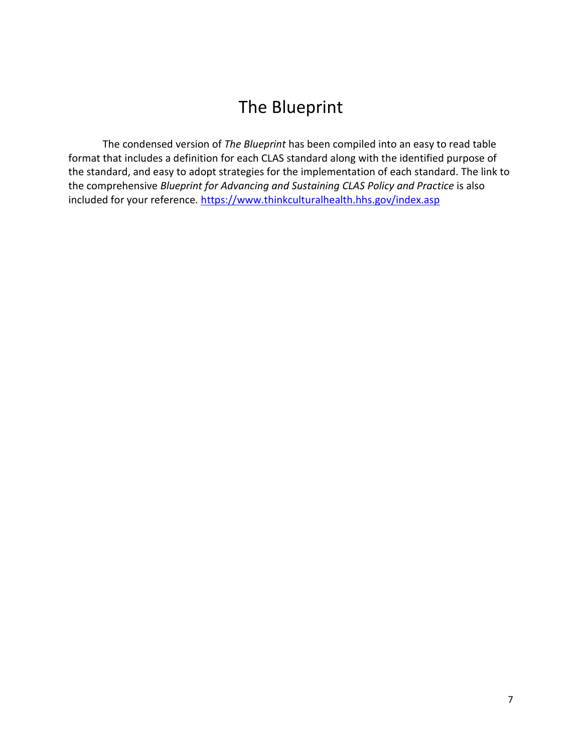## The Blueprint

The condensed version of *The Blueprint* has been compiled into an easy to read table format that includes a definition for each CLAS standard along with the identified purpose of the standard, and easy to adopt strategies for the implementation of each standard. The link to the comprehensive *Blueprint for Advancing and Sustaining CLAS Policy and Practice* is also included for your reference. <https://www.thinkculturalhealth.hhs.gov/index.asp>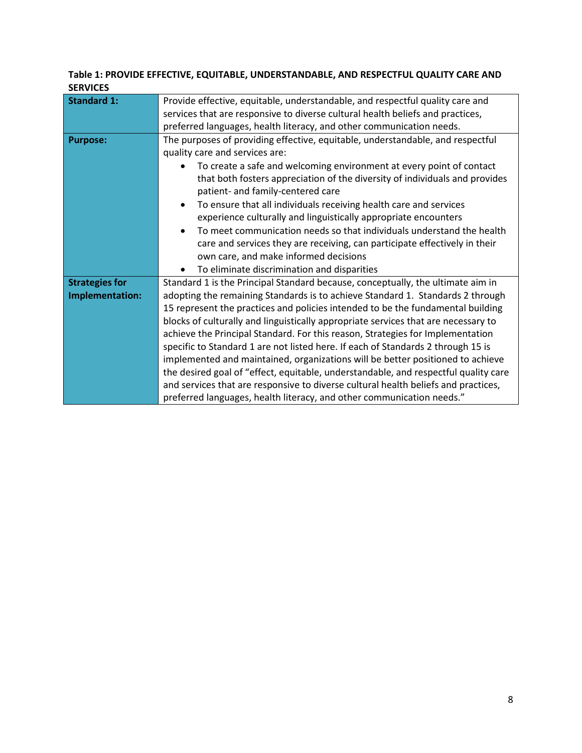### **Table 1: PROVIDE EFFECTIVE, EQUITABLE, UNDERSTANDABLE, AND RESPECTFUL QUALITY CARE AND SERVICES**

| <b>Standard 1:</b>                       | Provide effective, equitable, understandable, and respectful quality care and                                                                                                                                                                                                                                                                                                                                                                                                                                                                                                                                                                                                                                                                                                   |  |  |  |  |  |
|------------------------------------------|---------------------------------------------------------------------------------------------------------------------------------------------------------------------------------------------------------------------------------------------------------------------------------------------------------------------------------------------------------------------------------------------------------------------------------------------------------------------------------------------------------------------------------------------------------------------------------------------------------------------------------------------------------------------------------------------------------------------------------------------------------------------------------|--|--|--|--|--|
|                                          | services that are responsive to diverse cultural health beliefs and practices,                                                                                                                                                                                                                                                                                                                                                                                                                                                                                                                                                                                                                                                                                                  |  |  |  |  |  |
|                                          | preferred languages, health literacy, and other communication needs.                                                                                                                                                                                                                                                                                                                                                                                                                                                                                                                                                                                                                                                                                                            |  |  |  |  |  |
| <b>Purpose:</b>                          | The purposes of providing effective, equitable, understandable, and respectful                                                                                                                                                                                                                                                                                                                                                                                                                                                                                                                                                                                                                                                                                                  |  |  |  |  |  |
|                                          | quality care and services are:                                                                                                                                                                                                                                                                                                                                                                                                                                                                                                                                                                                                                                                                                                                                                  |  |  |  |  |  |
|                                          | To create a safe and welcoming environment at every point of contact<br>that both fosters appreciation of the diversity of individuals and provides<br>patient- and family-centered care                                                                                                                                                                                                                                                                                                                                                                                                                                                                                                                                                                                        |  |  |  |  |  |
|                                          | To ensure that all individuals receiving health care and services<br>$\bullet$<br>experience culturally and linguistically appropriate encounters                                                                                                                                                                                                                                                                                                                                                                                                                                                                                                                                                                                                                               |  |  |  |  |  |
|                                          | To meet communication needs so that individuals understand the health<br>$\bullet$<br>care and services they are receiving, can participate effectively in their<br>own care, and make informed decisions                                                                                                                                                                                                                                                                                                                                                                                                                                                                                                                                                                       |  |  |  |  |  |
|                                          | To eliminate discrimination and disparities                                                                                                                                                                                                                                                                                                                                                                                                                                                                                                                                                                                                                                                                                                                                     |  |  |  |  |  |
| <b>Strategies for</b><br>Implementation: | Standard 1 is the Principal Standard because, conceptually, the ultimate aim in<br>adopting the remaining Standards is to achieve Standard 1. Standards 2 through<br>15 represent the practices and policies intended to be the fundamental building<br>blocks of culturally and linguistically appropriate services that are necessary to<br>achieve the Principal Standard. For this reason, Strategies for Implementation<br>specific to Standard 1 are not listed here. If each of Standards 2 through 15 is<br>implemented and maintained, organizations will be better positioned to achieve<br>the desired goal of "effect, equitable, understandable, and respectful quality care<br>and services that are responsive to diverse cultural health beliefs and practices, |  |  |  |  |  |
|                                          | preferred languages, health literacy, and other communication needs."                                                                                                                                                                                                                                                                                                                                                                                                                                                                                                                                                                                                                                                                                                           |  |  |  |  |  |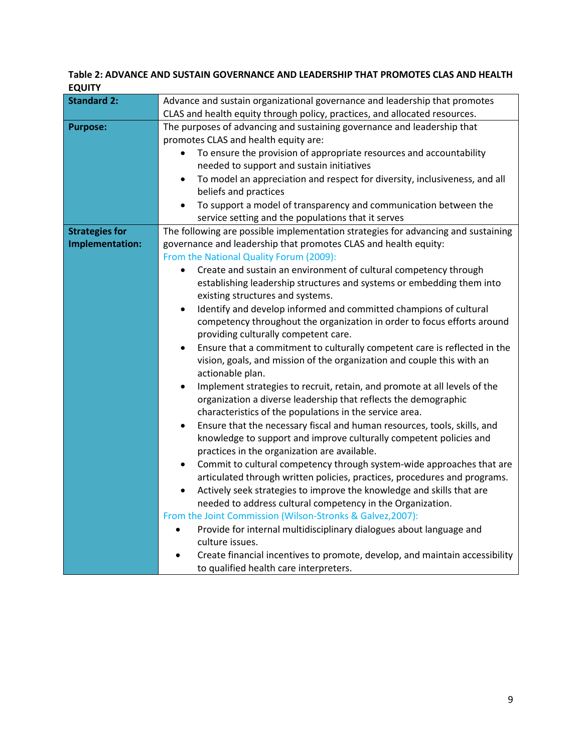| Table 2: ADVANCE AND SUSTAIN GOVERNANCE AND LEADERSHIP THAT PROMOTES CLAS AND HEALTH |  |
|--------------------------------------------------------------------------------------|--|
| <b>EQUITY</b>                                                                        |  |

| Advance and sustain organizational governance and leadership that promotes                                                                                      |  |  |  |
|-----------------------------------------------------------------------------------------------------------------------------------------------------------------|--|--|--|
| CLAS and health equity through policy, practices, and allocated resources.                                                                                      |  |  |  |
| The purposes of advancing and sustaining governance and leadership that                                                                                         |  |  |  |
| promotes CLAS and health equity are:                                                                                                                            |  |  |  |
| To ensure the provision of appropriate resources and accountability<br>$\bullet$                                                                                |  |  |  |
| needed to support and sustain initiatives                                                                                                                       |  |  |  |
| To model an appreciation and respect for diversity, inclusiveness, and all<br>$\bullet$                                                                         |  |  |  |
| beliefs and practices                                                                                                                                           |  |  |  |
| To support a model of transparency and communication between the<br>$\bullet$                                                                                   |  |  |  |
| service setting and the populations that it serves                                                                                                              |  |  |  |
| The following are possible implementation strategies for advancing and sustaining                                                                               |  |  |  |
| governance and leadership that promotes CLAS and health equity:                                                                                                 |  |  |  |
| From the National Quality Forum (2009):                                                                                                                         |  |  |  |
| Create and sustain an environment of cultural competency through<br>$\bullet$                                                                                   |  |  |  |
| establishing leadership structures and systems or embedding them into                                                                                           |  |  |  |
| existing structures and systems.                                                                                                                                |  |  |  |
| Identify and develop informed and committed champions of cultural<br>$\bullet$                                                                                  |  |  |  |
| competency throughout the organization in order to focus efforts around                                                                                         |  |  |  |
| providing culturally competent care.                                                                                                                            |  |  |  |
| Ensure that a commitment to culturally competent care is reflected in the<br>$\bullet$                                                                          |  |  |  |
| vision, goals, and mission of the organization and couple this with an                                                                                          |  |  |  |
| actionable plan.                                                                                                                                                |  |  |  |
| Implement strategies to recruit, retain, and promote at all levels of the<br>$\bullet$                                                                          |  |  |  |
| organization a diverse leadership that reflects the demographic                                                                                                 |  |  |  |
| characteristics of the populations in the service area.                                                                                                         |  |  |  |
| Ensure that the necessary fiscal and human resources, tools, skills, and<br>$\bullet$                                                                           |  |  |  |
| knowledge to support and improve culturally competent policies and                                                                                              |  |  |  |
| practices in the organization are available.                                                                                                                    |  |  |  |
| Commit to cultural competency through system-wide approaches that are<br>$\bullet$<br>articulated through written policies, practices, procedures and programs. |  |  |  |
| Actively seek strategies to improve the knowledge and skills that are<br>$\bullet$                                                                              |  |  |  |
| needed to address cultural competency in the Organization.                                                                                                      |  |  |  |
| From the Joint Commission (Wilson-Stronks & Galvez, 2007):                                                                                                      |  |  |  |
| Provide for internal multidisciplinary dialogues about language and<br>$\bullet$                                                                                |  |  |  |
| culture issues.                                                                                                                                                 |  |  |  |
| Create financial incentives to promote, develop, and maintain accessibility                                                                                     |  |  |  |
| to qualified health care interpreters.                                                                                                                          |  |  |  |
|                                                                                                                                                                 |  |  |  |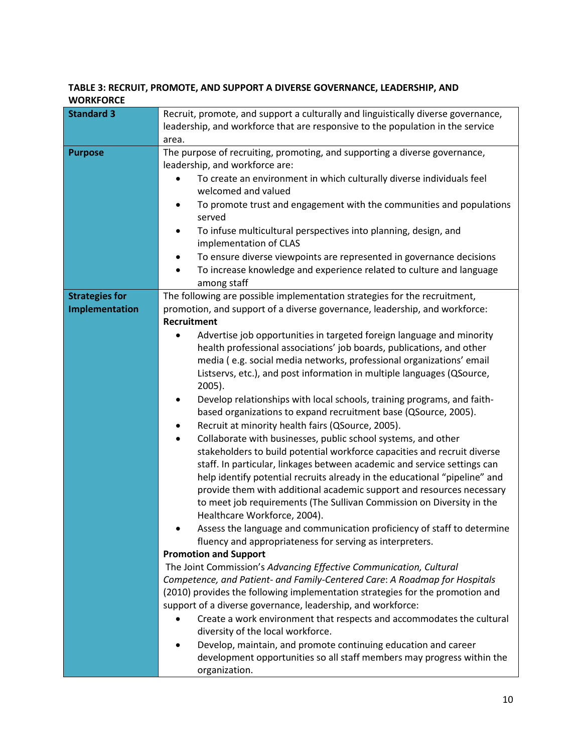#### **TABLE 3: RECRUIT, PROMOTE, AND SUPPORT A DIVERSE GOVERNANCE, LEADERSHIP, AND WORKFORCE**

| <b>Standard 3</b>     | Recruit, promote, and support a culturally and linguistically diverse governance,   |  |  |  |  |
|-----------------------|-------------------------------------------------------------------------------------|--|--|--|--|
|                       | leadership, and workforce that are responsive to the population in the service      |  |  |  |  |
|                       | area.                                                                               |  |  |  |  |
| <b>Purpose</b>        | The purpose of recruiting, promoting, and supporting a diverse governance,          |  |  |  |  |
|                       | leadership, and workforce are:                                                      |  |  |  |  |
|                       | To create an environment in which culturally diverse individuals feel               |  |  |  |  |
|                       | welcomed and valued                                                                 |  |  |  |  |
|                       | To promote trust and engagement with the communities and populations<br>served      |  |  |  |  |
|                       | To infuse multicultural perspectives into planning, design, and<br>٠                |  |  |  |  |
|                       | implementation of CLAS                                                              |  |  |  |  |
|                       | To ensure diverse viewpoints are represented in governance decisions                |  |  |  |  |
|                       | To increase knowledge and experience related to culture and language<br>among staff |  |  |  |  |
| <b>Strategies for</b> | The following are possible implementation strategies for the recruitment,           |  |  |  |  |
| Implementation        | promotion, and support of a diverse governance, leadership, and workforce:          |  |  |  |  |
|                       | Recruitment                                                                         |  |  |  |  |
|                       | Advertise job opportunities in targeted foreign language and minority               |  |  |  |  |
|                       | health professional associations' job boards, publications, and other               |  |  |  |  |
|                       | media (e.g. social media networks, professional organizations' email                |  |  |  |  |
|                       | Listservs, etc.), and post information in multiple languages (QSource,              |  |  |  |  |
|                       | $2005$ ).                                                                           |  |  |  |  |
|                       | Develop relationships with local schools, training programs, and faith-             |  |  |  |  |
|                       | based organizations to expand recruitment base (QSource, 2005).                     |  |  |  |  |
|                       | Recruit at minority health fairs (QSource, 2005).                                   |  |  |  |  |
|                       | Collaborate with businesses, public school systems, and other<br>٠                  |  |  |  |  |
|                       | stakeholders to build potential workforce capacities and recruit diverse            |  |  |  |  |
|                       | staff. In particular, linkages between academic and service settings can            |  |  |  |  |
|                       | help identify potential recruits already in the educational "pipeline" and          |  |  |  |  |
|                       | provide them with additional academic support and resources necessary               |  |  |  |  |
|                       | to meet job requirements (The Sullivan Commission on Diversity in the               |  |  |  |  |
|                       | Healthcare Workforce, 2004).                                                        |  |  |  |  |
|                       | Assess the language and communication proficiency of staff to determine             |  |  |  |  |
|                       | fluency and appropriateness for serving as interpreters.                            |  |  |  |  |
|                       | <b>Promotion and Support</b>                                                        |  |  |  |  |
|                       | The Joint Commission's Advancing Effective Communication, Cultural                  |  |  |  |  |
|                       | Competence, and Patient- and Family-Centered Care: A Roadmap for Hospitals          |  |  |  |  |
|                       | (2010) provides the following implementation strategies for the promotion and       |  |  |  |  |
|                       | support of a diverse governance, leadership, and workforce:                         |  |  |  |  |
|                       | Create a work environment that respects and accommodates the cultural               |  |  |  |  |
|                       | diversity of the local workforce.                                                   |  |  |  |  |
|                       | Develop, maintain, and promote continuing education and career                      |  |  |  |  |
|                       | development opportunities so all staff members may progress within the              |  |  |  |  |
|                       | organization.                                                                       |  |  |  |  |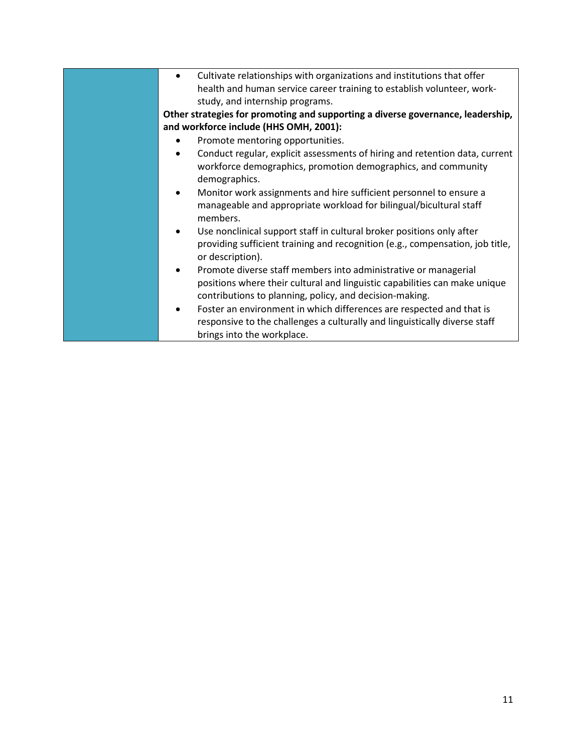| Cultivate relationships with organizations and institutions that offer<br>$\bullet$                                                                                                                      |
|----------------------------------------------------------------------------------------------------------------------------------------------------------------------------------------------------------|
| health and human service career training to establish volunteer, work-                                                                                                                                   |
| study, and internship programs.                                                                                                                                                                          |
| Other strategies for promoting and supporting a diverse governance, leadership,                                                                                                                          |
| and workforce include (HHS OMH, 2001):                                                                                                                                                                   |
| Promote mentoring opportunities.                                                                                                                                                                         |
| Conduct regular, explicit assessments of hiring and retention data, current<br>$\bullet$<br>workforce demographics, promotion demographics, and community<br>demographics.                               |
| Monitor work assignments and hire sufficient personnel to ensure a<br>$\bullet$<br>manageable and appropriate workload for bilingual/bicultural staff<br>members.                                        |
| Use nonclinical support staff in cultural broker positions only after<br>providing sufficient training and recognition (e.g., compensation, job title,<br>or description).                               |
| Promote diverse staff members into administrative or managerial<br>positions where their cultural and linguistic capabilities can make unique<br>contributions to planning, policy, and decision-making. |
| Foster an environment in which differences are respected and that is<br>٠<br>responsive to the challenges a culturally and linguistically diverse staff<br>brings into the workplace.                    |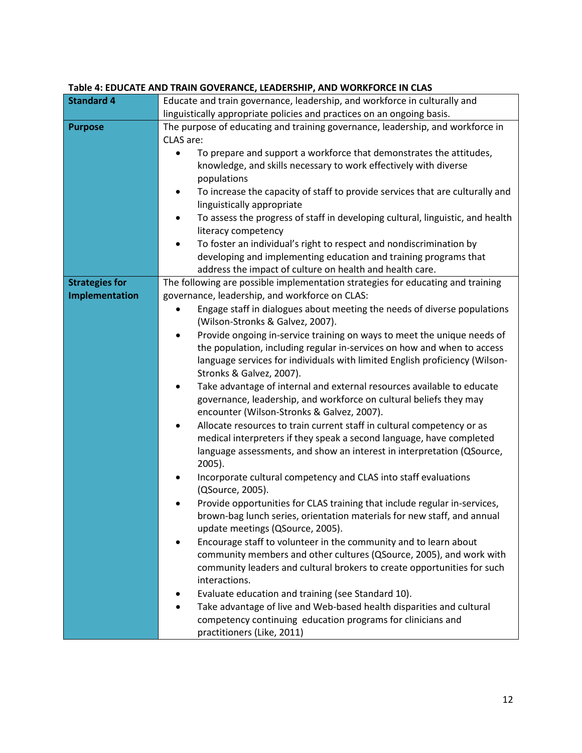### **Table 4: EDUCATE AND TRAIN GOVERANCE, LEADERSHIP, AND WORKFORCE IN CLAS**

| <b>Standard 4</b>     | Educate and train governance, leadership, and workforce in culturally and                                   |  |  |  |  |
|-----------------------|-------------------------------------------------------------------------------------------------------------|--|--|--|--|
|                       | linguistically appropriate policies and practices on an ongoing basis.                                      |  |  |  |  |
| <b>Purpose</b>        | The purpose of educating and training governance, leadership, and workforce in                              |  |  |  |  |
|                       | CLAS are:                                                                                                   |  |  |  |  |
|                       |                                                                                                             |  |  |  |  |
|                       | To prepare and support a workforce that demonstrates the attitudes,                                         |  |  |  |  |
|                       | knowledge, and skills necessary to work effectively with diverse                                            |  |  |  |  |
|                       | populations                                                                                                 |  |  |  |  |
|                       | To increase the capacity of staff to provide services that are culturally and<br>linguistically appropriate |  |  |  |  |
|                       |                                                                                                             |  |  |  |  |
|                       | To assess the progress of staff in developing cultural, linguistic, and health<br>literacy competency       |  |  |  |  |
|                       | To foster an individual's right to respect and nondiscrimination by                                         |  |  |  |  |
|                       | developing and implementing education and training programs that                                            |  |  |  |  |
|                       | address the impact of culture on health and health care.                                                    |  |  |  |  |
| <b>Strategies for</b> | The following are possible implementation strategies for educating and training                             |  |  |  |  |
| Implementation        | governance, leadership, and workforce on CLAS:                                                              |  |  |  |  |
|                       | Engage staff in dialogues about meeting the needs of diverse populations                                    |  |  |  |  |
|                       | (Wilson-Stronks & Galvez, 2007).                                                                            |  |  |  |  |
|                       | Provide ongoing in-service training on ways to meet the unique needs of                                     |  |  |  |  |
|                       | the population, including regular in-services on how and when to access                                     |  |  |  |  |
|                       | language services for individuals with limited English proficiency (Wilson-                                 |  |  |  |  |
|                       | Stronks & Galvez, 2007).                                                                                    |  |  |  |  |
|                       | Take advantage of internal and external resources available to educate<br>٠                                 |  |  |  |  |
|                       | governance, leadership, and workforce on cultural beliefs they may                                          |  |  |  |  |
|                       | encounter (Wilson-Stronks & Galvez, 2007).                                                                  |  |  |  |  |
|                       | Allocate resources to train current staff in cultural competency or as<br>$\bullet$                         |  |  |  |  |
|                       | medical interpreters if they speak a second language, have completed                                        |  |  |  |  |
|                       | language assessments, and show an interest in interpretation (QSource,                                      |  |  |  |  |
|                       | 2005).                                                                                                      |  |  |  |  |
|                       | Incorporate cultural competency and CLAS into staff evaluations                                             |  |  |  |  |
|                       | (QSource, 2005).                                                                                            |  |  |  |  |
|                       | Provide opportunities for CLAS training that include regular in-services,                                   |  |  |  |  |
|                       | brown-bag lunch series, orientation materials for new staff, and annual                                     |  |  |  |  |
|                       | update meetings (QSource, 2005).                                                                            |  |  |  |  |
|                       | Encourage staff to volunteer in the community and to learn about                                            |  |  |  |  |
|                       | community members and other cultures (QSource, 2005), and work with                                         |  |  |  |  |
|                       | community leaders and cultural brokers to create opportunities for such                                     |  |  |  |  |
|                       | interactions.                                                                                               |  |  |  |  |
|                       | Evaluate education and training (see Standard 10).                                                          |  |  |  |  |
|                       | Take advantage of live and Web-based health disparities and cultural                                        |  |  |  |  |
|                       | competency continuing education programs for clinicians and                                                 |  |  |  |  |
|                       | practitioners (Like, 2011)                                                                                  |  |  |  |  |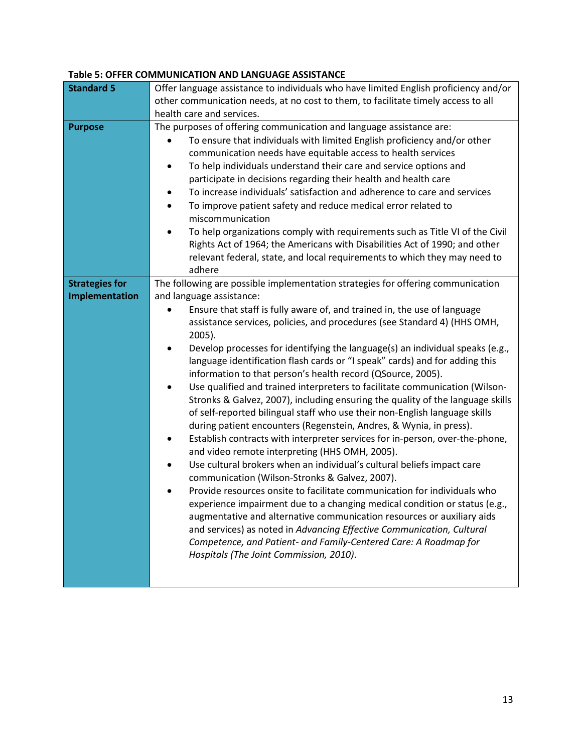#### **Table 5: OFFER COMMUNICATION AND LANGUAGE ASSISTANCE**

| <b>Standard 5</b>     | Offer language assistance to individuals who have limited English proficiency and/or<br>other communication needs, at no cost to them, to facilitate timely access to all                                                                                                                                                                                                                                                                                                                                                                                                                                                                                                                                                                                                                                                                                                                                                                                                                                                                                                                                                                                                                                                                                                                                                                                                                                                                                |  |  |  |  |
|-----------------------|----------------------------------------------------------------------------------------------------------------------------------------------------------------------------------------------------------------------------------------------------------------------------------------------------------------------------------------------------------------------------------------------------------------------------------------------------------------------------------------------------------------------------------------------------------------------------------------------------------------------------------------------------------------------------------------------------------------------------------------------------------------------------------------------------------------------------------------------------------------------------------------------------------------------------------------------------------------------------------------------------------------------------------------------------------------------------------------------------------------------------------------------------------------------------------------------------------------------------------------------------------------------------------------------------------------------------------------------------------------------------------------------------------------------------------------------------------|--|--|--|--|
|                       | health care and services.                                                                                                                                                                                                                                                                                                                                                                                                                                                                                                                                                                                                                                                                                                                                                                                                                                                                                                                                                                                                                                                                                                                                                                                                                                                                                                                                                                                                                                |  |  |  |  |
| <b>Purpose</b>        | The purposes of offering communication and language assistance are:<br>To ensure that individuals with limited English proficiency and/or other<br>$\bullet$<br>communication needs have equitable access to health services<br>To help individuals understand their care and service options and<br>$\bullet$<br>participate in decisions regarding their health and health care                                                                                                                                                                                                                                                                                                                                                                                                                                                                                                                                                                                                                                                                                                                                                                                                                                                                                                                                                                                                                                                                        |  |  |  |  |
|                       |                                                                                                                                                                                                                                                                                                                                                                                                                                                                                                                                                                                                                                                                                                                                                                                                                                                                                                                                                                                                                                                                                                                                                                                                                                                                                                                                                                                                                                                          |  |  |  |  |
|                       | To increase individuals' satisfaction and adherence to care and services<br>$\bullet$<br>To improve patient safety and reduce medical error related to<br>$\bullet$<br>miscommunication                                                                                                                                                                                                                                                                                                                                                                                                                                                                                                                                                                                                                                                                                                                                                                                                                                                                                                                                                                                                                                                                                                                                                                                                                                                                  |  |  |  |  |
|                       | To help organizations comply with requirements such as Title VI of the Civil<br>$\bullet$<br>Rights Act of 1964; the Americans with Disabilities Act of 1990; and other<br>relevant federal, state, and local requirements to which they may need to<br>adhere                                                                                                                                                                                                                                                                                                                                                                                                                                                                                                                                                                                                                                                                                                                                                                                                                                                                                                                                                                                                                                                                                                                                                                                           |  |  |  |  |
| <b>Strategies for</b> | The following are possible implementation strategies for offering communication                                                                                                                                                                                                                                                                                                                                                                                                                                                                                                                                                                                                                                                                                                                                                                                                                                                                                                                                                                                                                                                                                                                                                                                                                                                                                                                                                                          |  |  |  |  |
| Implementation        | and language assistance:                                                                                                                                                                                                                                                                                                                                                                                                                                                                                                                                                                                                                                                                                                                                                                                                                                                                                                                                                                                                                                                                                                                                                                                                                                                                                                                                                                                                                                 |  |  |  |  |
|                       | Ensure that staff is fully aware of, and trained in, the use of language<br>assistance services, policies, and procedures (see Standard 4) (HHS OMH,<br>2005).<br>Develop processes for identifying the language(s) an individual speaks (e.g.,<br>$\bullet$<br>language identification flash cards or "I speak" cards) and for adding this<br>information to that person's health record (QSource, 2005).<br>Use qualified and trained interpreters to facilitate communication (Wilson-<br>$\bullet$<br>Stronks & Galvez, 2007), including ensuring the quality of the language skills<br>of self-reported bilingual staff who use their non-English language skills<br>during patient encounters (Regenstein, Andres, & Wynia, in press).<br>Establish contracts with interpreter services for in-person, over-the-phone,<br>٠<br>and video remote interpreting (HHS OMH, 2005).<br>Use cultural brokers when an individual's cultural beliefs impact care<br>$\bullet$<br>communication (Wilson-Stronks & Galvez, 2007).<br>Provide resources onsite to facilitate communication for individuals who<br>experience impairment due to a changing medical condition or status (e.g.,<br>augmentative and alternative communication resources or auxiliary aids<br>and services) as noted in Advancing Effective Communication, Cultural<br>Competence, and Patient- and Family-Centered Care: A Roadmap for<br>Hospitals (The Joint Commission, 2010). |  |  |  |  |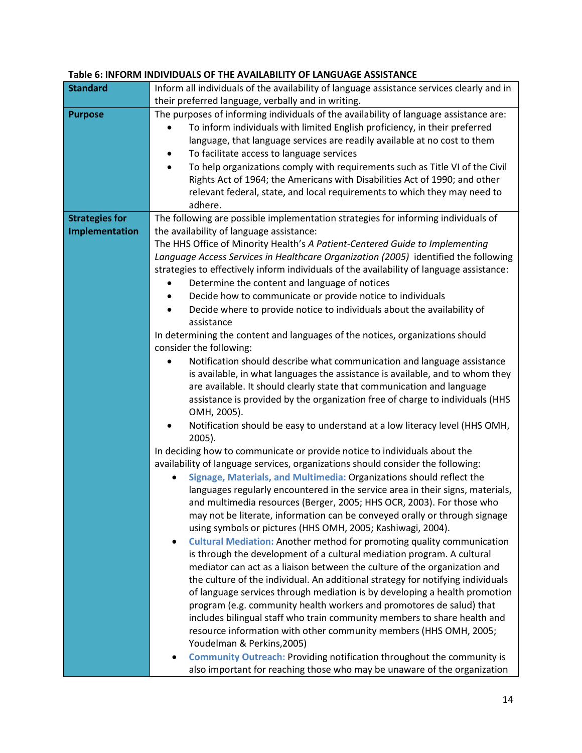| <b>Standard</b>       | Inform all individuals of the availability of language assistance services clearly and in    |  |  |  |
|-----------------------|----------------------------------------------------------------------------------------------|--|--|--|
|                       | their preferred language, verbally and in writing.                                           |  |  |  |
| <b>Purpose</b>        | The purposes of informing individuals of the availability of language assistance are:        |  |  |  |
|                       | To inform individuals with limited English proficiency, in their preferred<br>$\bullet$      |  |  |  |
|                       | language, that language services are readily available at no cost to them                    |  |  |  |
|                       | To facilitate access to language services                                                    |  |  |  |
|                       | To help organizations comply with requirements such as Title VI of the Civil                 |  |  |  |
|                       | Rights Act of 1964; the Americans with Disabilities Act of 1990; and other                   |  |  |  |
|                       | relevant federal, state, and local requirements to which they may need to                    |  |  |  |
|                       | adhere.                                                                                      |  |  |  |
| <b>Strategies for</b> | The following are possible implementation strategies for informing individuals of            |  |  |  |
| Implementation        | the availability of language assistance:                                                     |  |  |  |
|                       | The HHS Office of Minority Health's A Patient-Centered Guide to Implementing                 |  |  |  |
|                       |                                                                                              |  |  |  |
|                       | Language Access Services in Healthcare Organization (2005) identified the following          |  |  |  |
|                       | strategies to effectively inform individuals of the availability of language assistance:     |  |  |  |
|                       | Determine the content and language of notices                                                |  |  |  |
|                       | Decide how to communicate or provide notice to individuals                                   |  |  |  |
|                       | Decide where to provide notice to individuals about the availability of                      |  |  |  |
|                       | assistance                                                                                   |  |  |  |
|                       | In determining the content and languages of the notices, organizations should                |  |  |  |
|                       | consider the following:                                                                      |  |  |  |
|                       | Notification should describe what communication and language assistance<br>$\bullet$         |  |  |  |
|                       | is available, in what languages the assistance is available, and to whom they                |  |  |  |
|                       | are available. It should clearly state that communication and language                       |  |  |  |
|                       | assistance is provided by the organization free of charge to individuals (HHS<br>OMH, 2005). |  |  |  |
|                       | Notification should be easy to understand at a low literacy level (HHS OMH,<br>$2005$ ).     |  |  |  |
|                       | In deciding how to communicate or provide notice to individuals about the                    |  |  |  |
|                       | availability of language services, organizations should consider the following:              |  |  |  |
|                       | Signage, Materials, and Multimedia: Organizations should reflect the                         |  |  |  |
|                       | languages regularly encountered in the service area in their signs, materials,               |  |  |  |
|                       | and multimedia resources (Berger, 2005; HHS OCR, 2003). For those who                        |  |  |  |
|                       | may not be literate, information can be conveyed orally or through signage                   |  |  |  |
|                       | using symbols or pictures (HHS OMH, 2005; Kashiwagi, 2004).                                  |  |  |  |
|                       | <b>Cultural Mediation:</b> Another method for promoting quality communication<br>٠           |  |  |  |
|                       | is through the development of a cultural mediation program. A cultural                       |  |  |  |
|                       | mediator can act as a liaison between the culture of the organization and                    |  |  |  |
|                       | the culture of the individual. An additional strategy for notifying individuals              |  |  |  |
|                       | of language services through mediation is by developing a health promotion                   |  |  |  |
|                       | program (e.g. community health workers and promotores de salud) that                         |  |  |  |
|                       | includes bilingual staff who train community members to share health and                     |  |  |  |
|                       | resource information with other community members (HHS OMH, 2005;                            |  |  |  |
|                       | Youdelman & Perkins, 2005)                                                                   |  |  |  |
|                       | <b>Community Outreach: Providing notification throughout the community is</b><br>٠           |  |  |  |
|                       | also important for reaching those who may be unaware of the organization                     |  |  |  |

#### **Table 6: INFORM INDIVIDUALS OF THE AVAILABILITY OF LANGUAGE ASSISTANCE**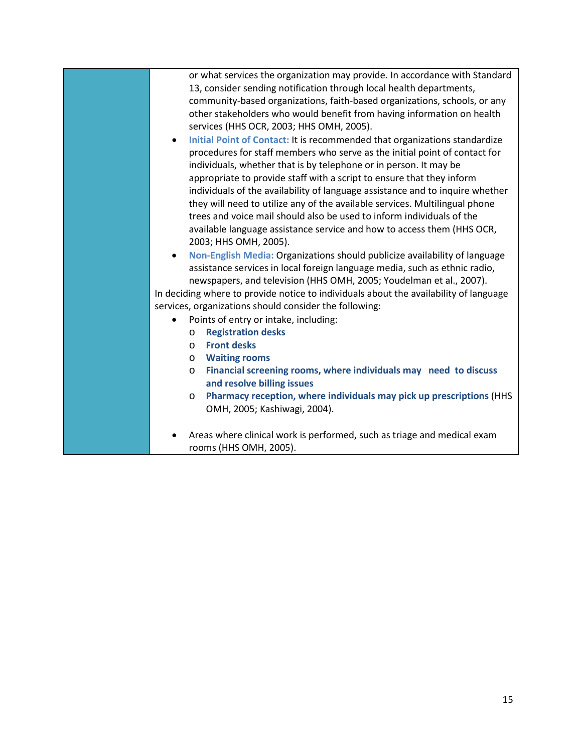or what services the organization may provide. In accordance with Standard 13, consider sending notification through local health departments, community-based organizations, faith-based organizations, schools, or any other stakeholders who would benefit from having information on health services (HHS OCR, 2003; HHS OMH, 2005).

• **Initial Point of Contact:** It is recommended that organizations standardize procedures for staff members who serve as the initial point of contact for individuals, whether that is by telephone or in person. It may be appropriate to provide staff with a script to ensure that they inform individuals of the availability of language assistance and to inquire whether they will need to utilize any of the available services. Multilingual phone trees and voice mail should also be used to inform individuals of the available language assistance service and how to access them (HHS OCR, 2003; HHS OMH, 2005).

• **Non-English Media:** Organizations should publicize availability of language assistance services in local foreign language media, such as ethnic radio, newspapers, and television (HHS OMH, 2005; Youdelman et al., 2007). In deciding where to provide notice to individuals about the availability of language

services, organizations should consider the following:

- Points of entry or intake, including:
	- o **Registration desks**
	- o **Front desks**
	- o **Waiting rooms**
	- o **Financial screening rooms, where individuals may need to discuss and resolve billing issues**
	- o **Pharmacy reception, where individuals may pick up prescriptions** (HHS OMH, 2005; Kashiwagi, 2004).
- Areas where clinical work is performed, such as triage and medical exam rooms (HHS OMH, 2005).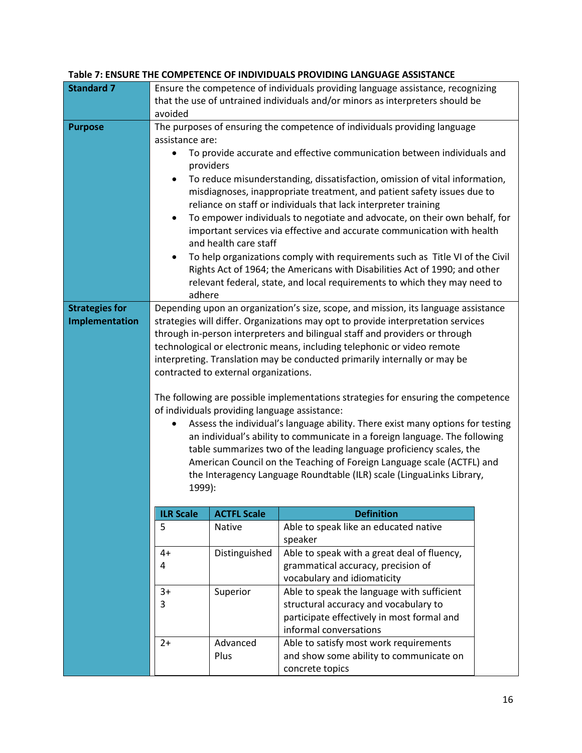|                       |                                                                                           |                    | TABLE 7. LINGURE THE COINTETENCE OF INDIVIDUALS FROVIDING LANGUAGE ASSISTANCE      |  |  |  |
|-----------------------|-------------------------------------------------------------------------------------------|--------------------|------------------------------------------------------------------------------------|--|--|--|
| <b>Standard 7</b>     | Ensure the competence of individuals providing language assistance, recognizing           |                    |                                                                                    |  |  |  |
|                       | that the use of untrained individuals and/or minors as interpreters should be             |                    |                                                                                    |  |  |  |
|                       | avoided                                                                                   |                    |                                                                                    |  |  |  |
| <b>Purpose</b>        | The purposes of ensuring the competence of individuals providing language                 |                    |                                                                                    |  |  |  |
|                       | assistance are:                                                                           |                    |                                                                                    |  |  |  |
|                       | To provide accurate and effective communication between individuals and<br>$\bullet$      |                    |                                                                                    |  |  |  |
|                       | providers                                                                                 |                    |                                                                                    |  |  |  |
|                       | $\bullet$                                                                                 |                    | To reduce misunderstanding, dissatisfaction, omission of vital information,        |  |  |  |
|                       | misdiagnoses, inappropriate treatment, and patient safety issues due to                   |                    |                                                                                    |  |  |  |
|                       | reliance on staff or individuals that lack interpreter training                           |                    |                                                                                    |  |  |  |
|                       | To empower individuals to negotiate and advocate, on their own behalf, for<br>$\bullet$   |                    |                                                                                    |  |  |  |
|                       | important services via effective and accurate communication with health                   |                    |                                                                                    |  |  |  |
|                       | and health care staff                                                                     |                    |                                                                                    |  |  |  |
|                       | To help organizations comply with requirements such as Title VI of the Civil<br>$\bullet$ |                    |                                                                                    |  |  |  |
|                       |                                                                                           |                    | Rights Act of 1964; the Americans with Disabilities Act of 1990; and other         |  |  |  |
|                       |                                                                                           |                    | relevant federal, state, and local requirements to which they may need to          |  |  |  |
|                       | adhere                                                                                    |                    |                                                                                    |  |  |  |
| <b>Strategies for</b> |                                                                                           |                    | Depending upon an organization's size, scope, and mission, its language assistance |  |  |  |
| Implementation        |                                                                                           |                    | strategies will differ. Organizations may opt to provide interpretation services   |  |  |  |
|                       | through in-person interpreters and bilingual staff and providers or through               |                    |                                                                                    |  |  |  |
|                       | technological or electronic means, including telephonic or video remote                   |                    |                                                                                    |  |  |  |
|                       | interpreting. Translation may be conducted primarily internally or may be                 |                    |                                                                                    |  |  |  |
|                       | contracted to external organizations.                                                     |                    |                                                                                    |  |  |  |
|                       |                                                                                           |                    |                                                                                    |  |  |  |
|                       | The following are possible implementations strategies for ensuring the competence         |                    |                                                                                    |  |  |  |
|                       | of individuals providing language assistance:                                             |                    |                                                                                    |  |  |  |
|                       | Assess the individual's language ability. There exist many options for testing            |                    |                                                                                    |  |  |  |
|                       |                                                                                           |                    | an individual's ability to communicate in a foreign language. The following        |  |  |  |
|                       |                                                                                           |                    | table summarizes two of the leading language proficiency scales, the               |  |  |  |
|                       |                                                                                           |                    | American Council on the Teaching of Foreign Language scale (ACTFL) and             |  |  |  |
|                       | the Interagency Language Roundtable (ILR) scale (LinguaLinks Library,                     |                    |                                                                                    |  |  |  |
|                       | 1999):                                                                                    |                    |                                                                                    |  |  |  |
|                       |                                                                                           |                    |                                                                                    |  |  |  |
|                       | <b>ILR Scale</b>                                                                          | <b>ACTFL Scale</b> | <b>Definition</b>                                                                  |  |  |  |
|                       | 5                                                                                         | Native             | Able to speak like an educated native                                              |  |  |  |
|                       |                                                                                           |                    | speaker                                                                            |  |  |  |
|                       | $4+$                                                                                      | Distinguished      | Able to speak with a great deal of fluency,                                        |  |  |  |
|                       | 4                                                                                         |                    | grammatical accuracy, precision of                                                 |  |  |  |
|                       |                                                                                           |                    | vocabulary and idiomaticity                                                        |  |  |  |
|                       | $3+$                                                                                      | Superior           | Able to speak the language with sufficient                                         |  |  |  |
|                       | 3                                                                                         |                    | structural accuracy and vocabulary to                                              |  |  |  |
|                       |                                                                                           |                    | participate effectively in most formal and                                         |  |  |  |
|                       |                                                                                           |                    | informal conversations                                                             |  |  |  |
|                       | $2+$                                                                                      | Advanced           | Able to satisfy most work requirements                                             |  |  |  |
|                       |                                                                                           | Plus               | and show some ability to communicate on                                            |  |  |  |
|                       |                                                                                           |                    | concrete topics                                                                    |  |  |  |

#### **Table 7: ENSURE THE COMPETENCE OF INDIVIDUALS PROVIDING LANGUAGE ASSISTANCE**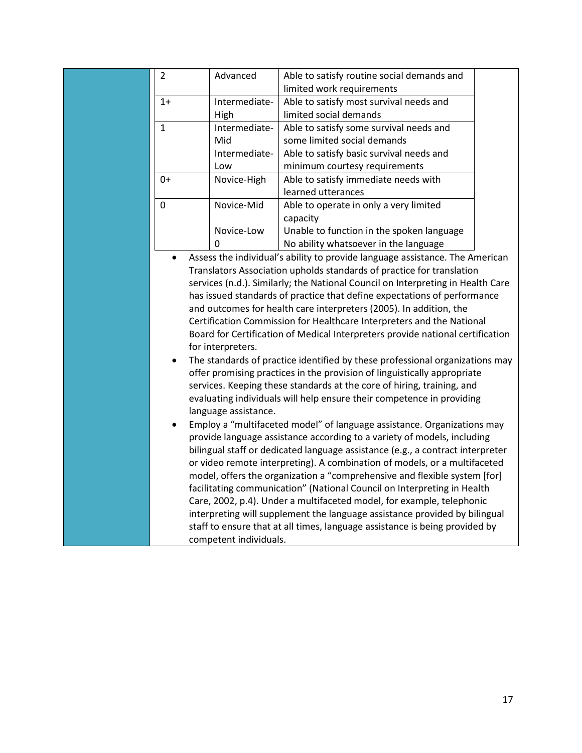| $\overline{2}$                                                                 | Advanced             | Able to satisfy routine social demands and                                      |  |  |  |  |
|--------------------------------------------------------------------------------|----------------------|---------------------------------------------------------------------------------|--|--|--|--|
|                                                                                |                      | limited work requirements                                                       |  |  |  |  |
| $1+$                                                                           | Intermediate-        | Able to satisfy most survival needs and                                         |  |  |  |  |
|                                                                                | High                 | limited social demands                                                          |  |  |  |  |
| $\mathbf{1}$                                                                   | Intermediate-        | Able to satisfy some survival needs and                                         |  |  |  |  |
|                                                                                | Mid                  | some limited social demands                                                     |  |  |  |  |
|                                                                                | Intermediate-        | Able to satisfy basic survival needs and                                        |  |  |  |  |
|                                                                                | Low                  | minimum courtesy requirements                                                   |  |  |  |  |
| $0+$                                                                           | Novice-High          | Able to satisfy immediate needs with                                            |  |  |  |  |
|                                                                                |                      | learned utterances                                                              |  |  |  |  |
| $\mathbf 0$                                                                    | Novice-Mid           | Able to operate in only a very limited                                          |  |  |  |  |
|                                                                                |                      | capacity                                                                        |  |  |  |  |
|                                                                                | Novice-Low           | Unable to function in the spoken language                                       |  |  |  |  |
|                                                                                | $\Omega$             | No ability whatsoever in the language                                           |  |  |  |  |
| $\bullet$                                                                      |                      | Assess the individual's ability to provide language assistance. The American    |  |  |  |  |
| Translators Association upholds standards of practice for translation          |                      |                                                                                 |  |  |  |  |
|                                                                                |                      | services (n.d.). Similarly; the National Council on Interpreting in Health Care |  |  |  |  |
| has issued standards of practice that define expectations of performance       |                      |                                                                                 |  |  |  |  |
|                                                                                |                      | and outcomes for health care interpreters (2005). In addition, the              |  |  |  |  |
|                                                                                |                      | Certification Commission for Healthcare Interpreters and the National           |  |  |  |  |
|                                                                                |                      | Board for Certification of Medical Interpreters provide national certification  |  |  |  |  |
|                                                                                | for interpreters.    |                                                                                 |  |  |  |  |
|                                                                                |                      | The standards of practice identified by these professional organizations may    |  |  |  |  |
|                                                                                |                      | offer promising practices in the provision of linguistically appropriate        |  |  |  |  |
|                                                                                |                      | services. Keeping these standards at the core of hiring, training, and          |  |  |  |  |
|                                                                                |                      | evaluating individuals will help ensure their competence in providing           |  |  |  |  |
|                                                                                | language assistance. |                                                                                 |  |  |  |  |
|                                                                                |                      | Employ a "multifaceted model" of language assistance. Organizations may         |  |  |  |  |
| provide language assistance according to a variety of models, including        |                      |                                                                                 |  |  |  |  |
| bilingual staff or dedicated language assistance (e.g., a contract interpreter |                      |                                                                                 |  |  |  |  |

or video remote interpreting). A combination of models, or a multifaceted model, offers the organization a "comprehensive and flexible system [for] facilitating communication" (National Council on Interpreting in Health Care, 2002, p.4). Under a multifaceted model, for example, telephonic interpreting will supplement the language assistance provided by bilingual staff to ensure that at all times, language assistance is being provided by

competent individuals.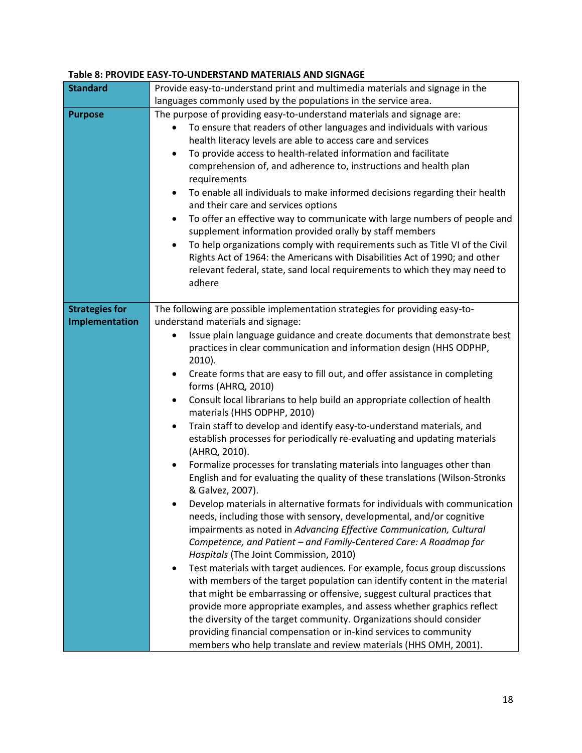#### **Table 8: PROVIDE EASY-TO-UNDERSTAND MATERIALS AND SIGNAGE**

| <b>Standard</b>       | Provide easy-to-understand print and multimedia materials and signage in the              |
|-----------------------|-------------------------------------------------------------------------------------------|
|                       |                                                                                           |
|                       | languages commonly used by the populations in the service area.                           |
| <b>Purpose</b>        | The purpose of providing easy-to-understand materials and signage are:                    |
|                       | To ensure that readers of other languages and individuals with various<br>$\bullet$       |
|                       | health literacy levels are able to access care and services                               |
|                       | To provide access to health-related information and facilitate<br>$\bullet$               |
|                       | comprehension of, and adherence to, instructions and health plan                          |
|                       | requirements                                                                              |
|                       | To enable all individuals to make informed decisions regarding their health<br>$\bullet$  |
|                       |                                                                                           |
|                       | and their care and services options                                                       |
|                       | To offer an effective way to communicate with large numbers of people and<br>$\bullet$    |
|                       | supplement information provided orally by staff members                                   |
|                       | To help organizations comply with requirements such as Title VI of the Civil<br>$\bullet$ |
|                       | Rights Act of 1964: the Americans with Disabilities Act of 1990; and other                |
|                       | relevant federal, state, sand local requirements to which they may need to                |
|                       | adhere                                                                                    |
|                       |                                                                                           |
| <b>Strategies for</b> | The following are possible implementation strategies for providing easy-to-               |
| Implementation        | understand materials and signage:                                                         |
|                       |                                                                                           |
|                       | Issue plain language guidance and create documents that demonstrate best                  |
|                       | practices in clear communication and information design (HHS ODPHP,                       |
|                       | $2010$ ).                                                                                 |
|                       | Create forms that are easy to fill out, and offer assistance in completing<br>$\bullet$   |
|                       | forms (AHRQ, 2010)                                                                        |
|                       | Consult local librarians to help build an appropriate collection of health<br>$\bullet$   |
|                       | materials (HHS ODPHP, 2010)                                                               |
|                       | Train staff to develop and identify easy-to-understand materials, and<br>$\bullet$        |
|                       | establish processes for periodically re-evaluating and updating materials                 |
|                       | (AHRQ, 2010).                                                                             |
|                       | Formalize processes for translating materials into languages other than<br>$\bullet$      |
|                       |                                                                                           |
|                       | English and for evaluating the quality of these translations (Wilson-Stronks              |
|                       | & Galvez, 2007).                                                                          |
|                       | Develop materials in alternative formats for individuals with communication               |
|                       | needs, including those with sensory, developmental, and/or cognitive                      |
|                       | impairments as noted in Advancing Effective Communication, Cultural                       |
|                       | Competence, and Patient - and Family-Centered Care: A Roadmap for                         |
|                       | Hospitals (The Joint Commission, 2010)                                                    |
|                       | Test materials with target audiences. For example, focus group discussions                |
|                       | with members of the target population can identify content in the material                |
|                       | that might be embarrassing or offensive, suggest cultural practices that                  |
|                       | provide more appropriate examples, and assess whether graphics reflect                    |
|                       |                                                                                           |
|                       | the diversity of the target community. Organizations should consider                      |
|                       | providing financial compensation or in-kind services to community                         |
|                       | members who help translate and review materials (HHS OMH, 2001).                          |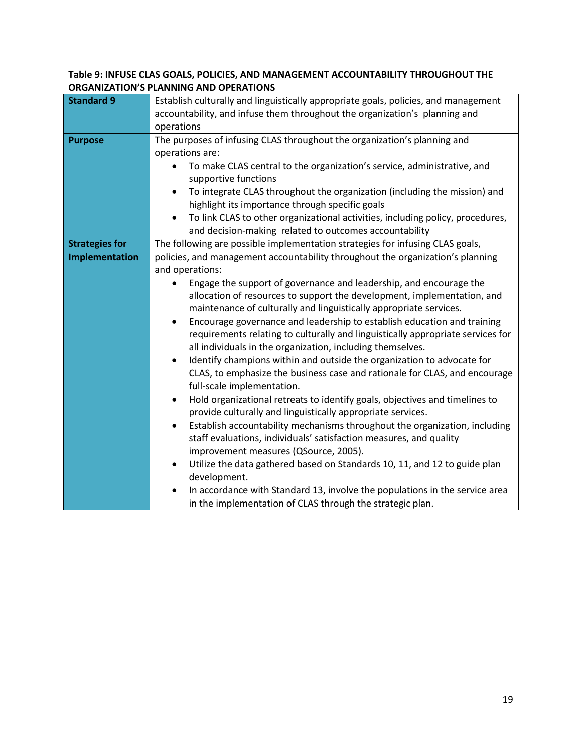### **Table 9: INFUSE CLAS GOALS, POLICIES, AND MANAGEMENT ACCOUNTABILITY THROUGHOUT THE ORGANIZATION'S PLANNING AND OPERATIONS**

| <b>Standard 9</b>     | Establish culturally and linguistically appropriate goals, policies, and management      |  |  |
|-----------------------|------------------------------------------------------------------------------------------|--|--|
|                       | accountability, and infuse them throughout the organization's planning and               |  |  |
|                       | operations                                                                               |  |  |
| <b>Purpose</b>        | The purposes of infusing CLAS throughout the organization's planning and                 |  |  |
|                       | operations are:                                                                          |  |  |
|                       | To make CLAS central to the organization's service, administrative, and<br>$\bullet$     |  |  |
|                       | supportive functions                                                                     |  |  |
|                       | To integrate CLAS throughout the organization (including the mission) and<br>$\bullet$   |  |  |
|                       | highlight its importance through specific goals                                          |  |  |
|                       | To link CLAS to other organizational activities, including policy, procedures,           |  |  |
|                       | and decision-making related to outcomes accountability                                   |  |  |
| <b>Strategies for</b> | The following are possible implementation strategies for infusing CLAS goals,            |  |  |
| Implementation        | policies, and management accountability throughout the organization's planning           |  |  |
|                       | and operations:                                                                          |  |  |
|                       | Engage the support of governance and leadership, and encourage the                       |  |  |
|                       | allocation of resources to support the development, implementation, and                  |  |  |
|                       | maintenance of culturally and linguistically appropriate services.                       |  |  |
|                       | Encourage governance and leadership to establish education and training<br>$\bullet$     |  |  |
|                       | requirements relating to culturally and linguistically appropriate services for          |  |  |
|                       | all individuals in the organization, including themselves.                               |  |  |
|                       | Identify champions within and outside the organization to advocate for<br>٠              |  |  |
|                       | CLAS, to emphasize the business case and rationale for CLAS, and encourage               |  |  |
|                       | full-scale implementation.                                                               |  |  |
|                       | Hold organizational retreats to identify goals, objectives and timelines to<br>$\bullet$ |  |  |
|                       | provide culturally and linguistically appropriate services.                              |  |  |
|                       | Establish accountability mechanisms throughout the organization, including<br>$\bullet$  |  |  |
|                       | staff evaluations, individuals' satisfaction measures, and quality                       |  |  |
|                       | improvement measures (QSource, 2005).                                                    |  |  |
|                       | Utilize the data gathered based on Standards 10, 11, and 12 to guide plan<br>$\bullet$   |  |  |
|                       | development.                                                                             |  |  |
|                       | In accordance with Standard 13, involve the populations in the service area<br>$\bullet$ |  |  |
|                       | in the implementation of CLAS through the strategic plan.                                |  |  |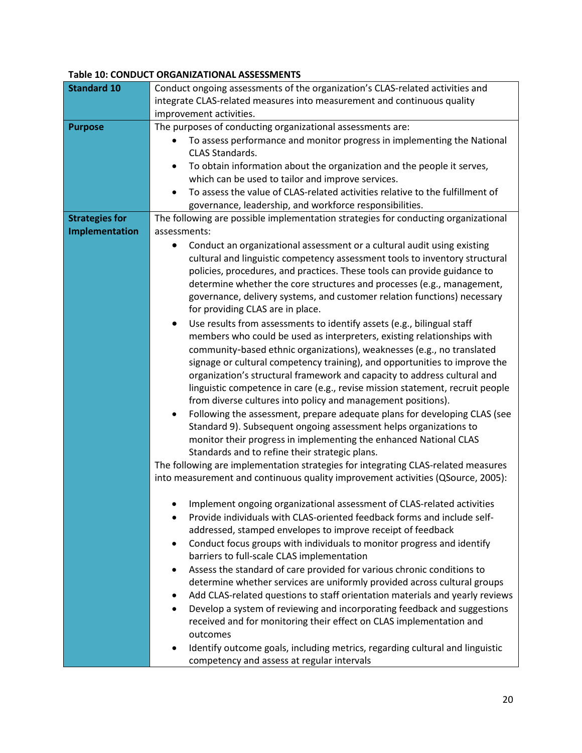#### **Table 10: CONDUCT ORGANIZATIONAL ASSESSMENTS**

| <b>Standard 10</b>    | Conduct ongoing assessments of the organization's CLAS-related activities and              |  |
|-----------------------|--------------------------------------------------------------------------------------------|--|
|                       | integrate CLAS-related measures into measurement and continuous quality                    |  |
|                       | improvement activities.                                                                    |  |
| <b>Purpose</b>        | The purposes of conducting organizational assessments are:                                 |  |
|                       | To assess performance and monitor progress in implementing the National<br>$\bullet$       |  |
|                       | <b>CLAS Standards.</b>                                                                     |  |
|                       | To obtain information about the organization and the people it serves,<br>$\bullet$        |  |
|                       | which can be used to tailor and improve services.                                          |  |
|                       | To assess the value of CLAS-related activities relative to the fulfillment of<br>$\bullet$ |  |
|                       | governance, leadership, and workforce responsibilities.                                    |  |
| <b>Strategies for</b> | The following are possible implementation strategies for conducting organizational         |  |
| Implementation        | assessments:                                                                               |  |
|                       | Conduct an organizational assessment or a cultural audit using existing                    |  |
|                       | cultural and linguistic competency assessment tools to inventory structural                |  |
|                       | policies, procedures, and practices. These tools can provide guidance to                   |  |
|                       | determine whether the core structures and processes (e.g., management,                     |  |
|                       | governance, delivery systems, and customer relation functions) necessary                   |  |
|                       | for providing CLAS are in place.                                                           |  |
|                       | Use results from assessments to identify assets (e.g., bilingual staff<br>$\bullet$        |  |
|                       | members who could be used as interpreters, existing relationships with                     |  |
|                       | community-based ethnic organizations), weaknesses (e.g., no translated                     |  |
|                       | signage or cultural competency training), and opportunities to improve the                 |  |
|                       | organization's structural framework and capacity to address cultural and                   |  |
|                       | linguistic competence in care (e.g., revise mission statement, recruit people              |  |
|                       | from diverse cultures into policy and management positions).                               |  |
|                       | Following the assessment, prepare adequate plans for developing CLAS (see<br>٠             |  |
|                       | Standard 9). Subsequent ongoing assessment helps organizations to                          |  |
|                       | monitor their progress in implementing the enhanced National CLAS                          |  |
|                       | Standards and to refine their strategic plans.                                             |  |
|                       | The following are implementation strategies for integrating CLAS-related measures          |  |
|                       | into measurement and continuous quality improvement activities (QSource, 2005):            |  |
|                       | Implement ongoing organizational assessment of CLAS-related activities                     |  |
|                       | Provide individuals with CLAS-oriented feedback forms and include self-                    |  |
|                       | addressed, stamped envelopes to improve receipt of feedback                                |  |
|                       | Conduct focus groups with individuals to monitor progress and identify<br>٠                |  |
|                       | barriers to full-scale CLAS implementation                                                 |  |
|                       | Assess the standard of care provided for various chronic conditions to<br>٠                |  |
|                       | determine whether services are uniformly provided across cultural groups                   |  |
|                       | Add CLAS-related questions to staff orientation materials and yearly reviews<br>$\bullet$  |  |
|                       | Develop a system of reviewing and incorporating feedback and suggestions<br>$\bullet$      |  |
|                       | received and for monitoring their effect on CLAS implementation and                        |  |
|                       | outcomes                                                                                   |  |
|                       | Identify outcome goals, including metrics, regarding cultural and linguistic               |  |
|                       | competency and assess at regular intervals                                                 |  |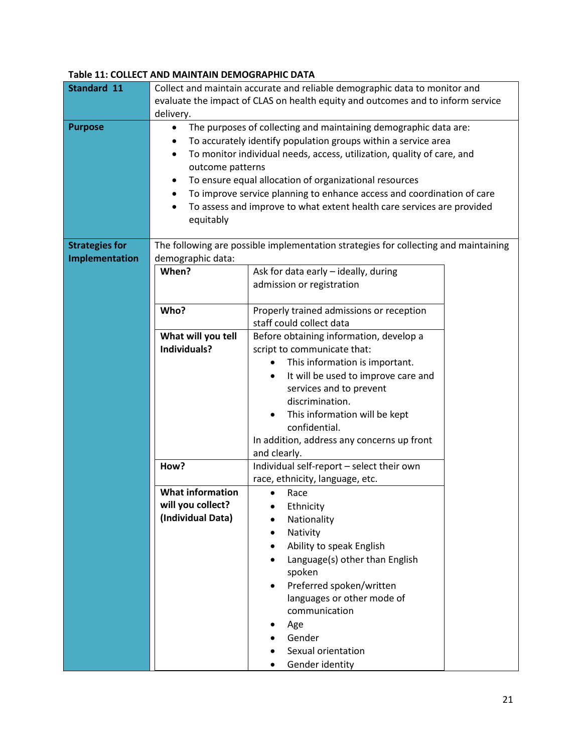#### **Table 11: COLLECT AND MAINTAIN DEMOGRAPHIC DATA**

| Standard 11           |                                                                                   | Collect and maintain accurate and reliable demographic data to monitor and                                                                                                                                                                                                                                                                                                                                                 |  |
|-----------------------|-----------------------------------------------------------------------------------|----------------------------------------------------------------------------------------------------------------------------------------------------------------------------------------------------------------------------------------------------------------------------------------------------------------------------------------------------------------------------------------------------------------------------|--|
|                       | delivery.                                                                         | evaluate the impact of CLAS on health equity and outcomes and to inform service                                                                                                                                                                                                                                                                                                                                            |  |
| <b>Purpose</b>        | $\bullet$<br>outcome patterns<br>$\bullet$<br>$\bullet$<br>$\bullet$<br>equitably | The purposes of collecting and maintaining demographic data are:<br>To accurately identify population groups within a service area<br>To monitor individual needs, access, utilization, quality of care, and<br>To ensure equal allocation of organizational resources<br>To improve service planning to enhance access and coordination of care<br>To assess and improve to what extent health care services are provided |  |
| <b>Strategies for</b> |                                                                                   | The following are possible implementation strategies for collecting and maintaining                                                                                                                                                                                                                                                                                                                                        |  |
| Implementation        | demographic data:                                                                 |                                                                                                                                                                                                                                                                                                                                                                                                                            |  |
|                       | When?                                                                             | Ask for data early - ideally, during                                                                                                                                                                                                                                                                                                                                                                                       |  |
|                       |                                                                                   | admission or registration                                                                                                                                                                                                                                                                                                                                                                                                  |  |
|                       | Who?                                                                              | Properly trained admissions or reception                                                                                                                                                                                                                                                                                                                                                                                   |  |
|                       |                                                                                   | staff could collect data                                                                                                                                                                                                                                                                                                                                                                                                   |  |
|                       | What will you tell                                                                | Before obtaining information, develop a                                                                                                                                                                                                                                                                                                                                                                                    |  |
|                       | Individuals?                                                                      | script to communicate that:                                                                                                                                                                                                                                                                                                                                                                                                |  |
|                       |                                                                                   | This information is important.                                                                                                                                                                                                                                                                                                                                                                                             |  |
|                       |                                                                                   | It will be used to improve care and<br>$\bullet$                                                                                                                                                                                                                                                                                                                                                                           |  |
|                       |                                                                                   | services and to prevent<br>discrimination.                                                                                                                                                                                                                                                                                                                                                                                 |  |
|                       |                                                                                   | This information will be kept<br>$\bullet$                                                                                                                                                                                                                                                                                                                                                                                 |  |
|                       |                                                                                   | confidential.                                                                                                                                                                                                                                                                                                                                                                                                              |  |
|                       |                                                                                   | In addition, address any concerns up front                                                                                                                                                                                                                                                                                                                                                                                 |  |
|                       |                                                                                   | and clearly.                                                                                                                                                                                                                                                                                                                                                                                                               |  |
|                       | How?                                                                              | Individual self-report - select their own                                                                                                                                                                                                                                                                                                                                                                                  |  |
|                       |                                                                                   | race, ethnicity, language, etc.                                                                                                                                                                                                                                                                                                                                                                                            |  |
|                       | <b>What information</b>                                                           | Race                                                                                                                                                                                                                                                                                                                                                                                                                       |  |
|                       | will vou collect?                                                                 | Ethnicity                                                                                                                                                                                                                                                                                                                                                                                                                  |  |
|                       | (Individual Data)                                                                 | Nationality                                                                                                                                                                                                                                                                                                                                                                                                                |  |
|                       |                                                                                   | Nativity<br>Ability to speak English                                                                                                                                                                                                                                                                                                                                                                                       |  |
|                       |                                                                                   | Language(s) other than English                                                                                                                                                                                                                                                                                                                                                                                             |  |
|                       |                                                                                   | spoken                                                                                                                                                                                                                                                                                                                                                                                                                     |  |
|                       |                                                                                   | Preferred spoken/written<br>$\bullet$                                                                                                                                                                                                                                                                                                                                                                                      |  |
|                       |                                                                                   | languages or other mode of                                                                                                                                                                                                                                                                                                                                                                                                 |  |
|                       |                                                                                   | communication                                                                                                                                                                                                                                                                                                                                                                                                              |  |
|                       |                                                                                   | Age                                                                                                                                                                                                                                                                                                                                                                                                                        |  |
|                       |                                                                                   | Gender                                                                                                                                                                                                                                                                                                                                                                                                                     |  |
|                       |                                                                                   | Sexual orientation                                                                                                                                                                                                                                                                                                                                                                                                         |  |
|                       |                                                                                   | Gender identity                                                                                                                                                                                                                                                                                                                                                                                                            |  |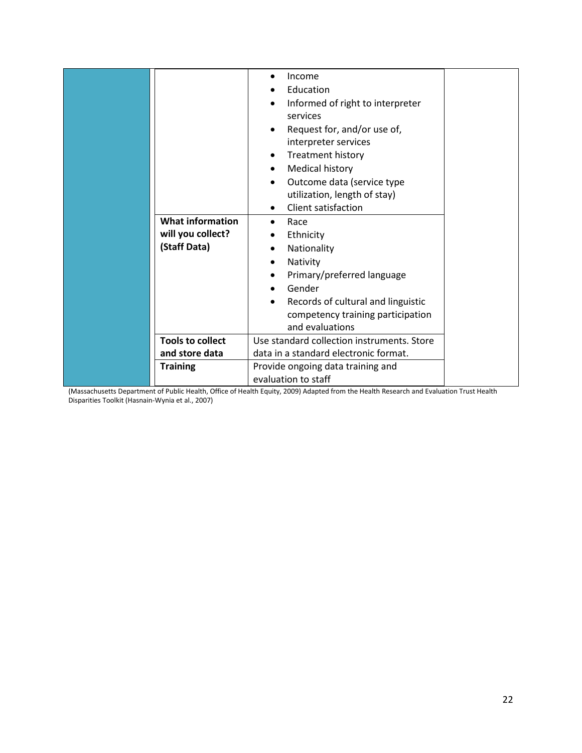| <b>What information</b><br>will you collect?<br>(Staff Data) | Income<br>٠<br>Education<br>Informed of right to interpreter<br>٠<br>services<br>Request for, and/or use of,<br>interpreter services<br>Treatment history<br>Medical history<br>٠<br>Outcome data (service type<br>utilization, length of stay)<br>Client satisfaction<br>Race<br>$\bullet$<br>Ethnicity<br>Nationality<br>Nativity<br>Primary/preferred language<br>Gender<br>Records of cultural and linguistic<br>competency training participation |
|--------------------------------------------------------------|--------------------------------------------------------------------------------------------------------------------------------------------------------------------------------------------------------------------------------------------------------------------------------------------------------------------------------------------------------------------------------------------------------------------------------------------------------|
|                                                              | and evaluations                                                                                                                                                                                                                                                                                                                                                                                                                                        |
| <b>Tools to collect</b>                                      | Use standard collection instruments. Store                                                                                                                                                                                                                                                                                                                                                                                                             |
| and store data                                               | data in a standard electronic format.                                                                                                                                                                                                                                                                                                                                                                                                                  |
| <b>Training</b>                                              | Provide ongoing data training and<br>evaluation to staff                                                                                                                                                                                                                                                                                                                                                                                               |

(Massachusetts Department of Public Health, Office of Health Equity, 2009) Adapted from the Health Research and Evaluation Trust Health Disparities Toolkit (Hasnain-Wynia et al., 2007)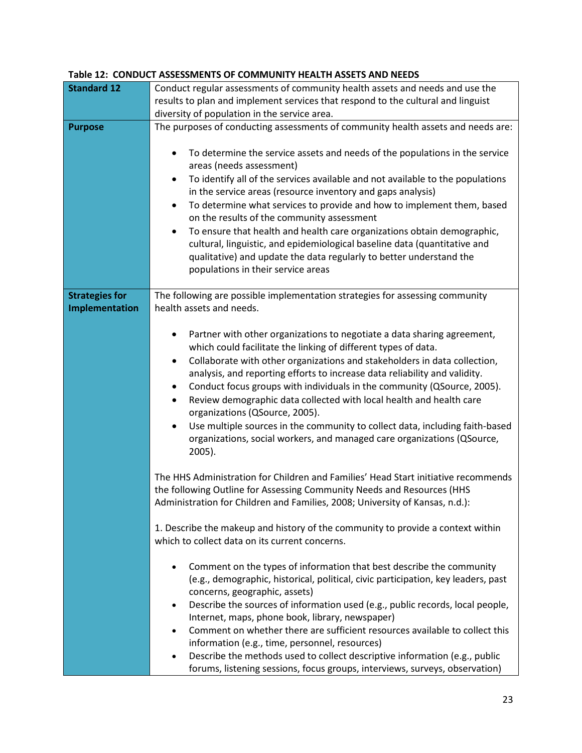|                       | CONTROLLETT LICALITI ASSETS AND IN                                                          |  |
|-----------------------|---------------------------------------------------------------------------------------------|--|
| <b>Standard 12</b>    | Conduct regular assessments of community health assets and needs and use the                |  |
|                       | results to plan and implement services that respond to the cultural and linguist            |  |
|                       | diversity of population in the service area.                                                |  |
| <b>Purpose</b>        | The purposes of conducting assessments of community health assets and needs are:            |  |
|                       |                                                                                             |  |
|                       |                                                                                             |  |
|                       | To determine the service assets and needs of the populations in the service<br>$\bullet$    |  |
|                       | areas (needs assessment)                                                                    |  |
|                       | To identify all of the services available and not available to the populations<br>$\bullet$ |  |
|                       | in the service areas (resource inventory and gaps analysis)                                 |  |
|                       | To determine what services to provide and how to implement them, based<br>$\bullet$         |  |
|                       |                                                                                             |  |
|                       | on the results of the community assessment                                                  |  |
|                       | To ensure that health and health care organizations obtain demographic,<br>$\bullet$        |  |
|                       | cultural, linguistic, and epidemiological baseline data (quantitative and                   |  |
|                       | qualitative) and update the data regularly to better understand the                         |  |
|                       | populations in their service areas                                                          |  |
|                       |                                                                                             |  |
|                       |                                                                                             |  |
| <b>Strategies for</b> | The following are possible implementation strategies for assessing community                |  |
| Implementation        | health assets and needs.                                                                    |  |
|                       |                                                                                             |  |
|                       | Partner with other organizations to negotiate a data sharing agreement,<br>٠                |  |
|                       | which could facilitate the linking of different types of data.                              |  |
|                       | Collaborate with other organizations and stakeholders in data collection,<br>$\bullet$      |  |
|                       | analysis, and reporting efforts to increase data reliability and validity.                  |  |
|                       |                                                                                             |  |
|                       | Conduct focus groups with individuals in the community (QSource, 2005).<br>٠                |  |
|                       | Review demographic data collected with local health and health care<br>$\bullet$            |  |
|                       | organizations (QSource, 2005).                                                              |  |
|                       | Use multiple sources in the community to collect data, including faith-based<br>$\bullet$   |  |
|                       | organizations, social workers, and managed care organizations (QSource,                     |  |
|                       |                                                                                             |  |
|                       | $2005$ ).                                                                                   |  |
|                       |                                                                                             |  |
|                       | The HHS Administration for Children and Families' Head Start initiative recommends          |  |
|                       | the following Outline for Assessing Community Needs and Resources (HHS                      |  |
|                       | Administration for Children and Families, 2008; University of Kansas, n.d.):                |  |
|                       |                                                                                             |  |
|                       | 1. Describe the makeup and history of the community to provide a context within             |  |
|                       | which to collect data on its current concerns.                                              |  |
|                       |                                                                                             |  |
|                       | Comment on the types of information that best describe the community                        |  |
|                       |                                                                                             |  |
|                       | (e.g., demographic, historical, political, civic participation, key leaders, past           |  |
|                       | concerns, geographic, assets)                                                               |  |
|                       | Describe the sources of information used (e.g., public records, local people,               |  |
|                       | Internet, maps, phone book, library, newspaper)                                             |  |
|                       | Comment on whether there are sufficient resources available to collect this                 |  |
|                       | information (e.g., time, personnel, resources)                                              |  |
|                       |                                                                                             |  |
|                       | Describe the methods used to collect descriptive information (e.g., public<br>$\bullet$     |  |
|                       | forums, listening sessions, focus groups, interviews, surveys, observation)                 |  |

#### **Table 12: CONDUCT ASSESSMENTS OF COMMUNITY HEALTH ASSETS AND NEEDS**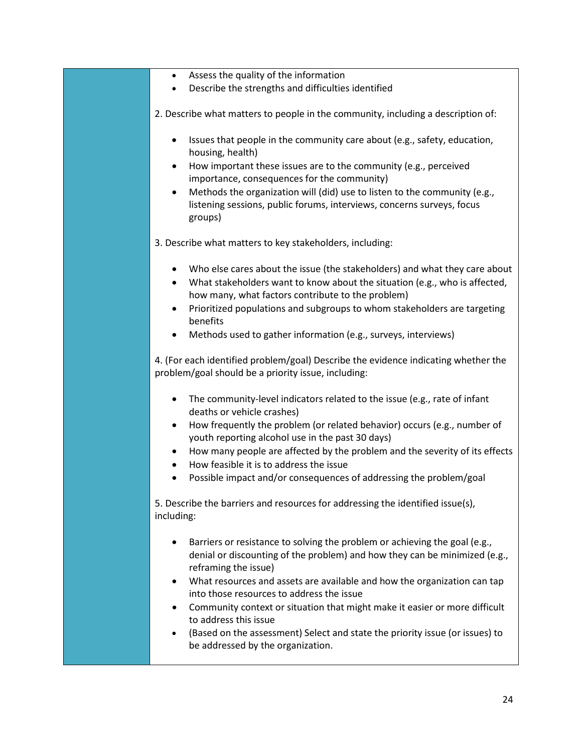- Assess the quality of the information
- Describe the strengths and difficulties identified
- 2. Describe what matters to people in the community, including a description of:
	- Issues that people in the community care about (e.g., safety, education, housing, health)
	- How important these issues are to the community (e.g., perceived importance, consequences for the community)
	- Methods the organization will (did) use to listen to the community (e.g., listening sessions, public forums, interviews, concerns surveys, focus groups)
- 3. Describe what matters to key stakeholders, including:
	- Who else cares about the issue (the stakeholders) and what they care about
	- What stakeholders want to know about the situation (e.g., who is affected, how many, what factors contribute to the problem)
	- Prioritized populations and subgroups to whom stakeholders are targeting benefits
	- Methods used to gather information (e.g., surveys, interviews)

4. (For each identified problem/goal) Describe the evidence indicating whether the problem/goal should be a priority issue, including:

- The community-level indicators related to the issue (e.g., rate of infant deaths or vehicle crashes)
- How frequently the problem (or related behavior) occurs (e.g., number of youth reporting alcohol use in the past 30 days)
- How many people are affected by the problem and the severity of its effects
- How feasible it is to address the issue
- Possible impact and/or consequences of addressing the problem/goal

5. Describe the barriers and resources for addressing the identified issue(s), including:

- Barriers or resistance to solving the problem or achieving the goal (e.g., denial or discounting of the problem) and how they can be minimized (e.g., reframing the issue)
- What resources and assets are available and how the organization can tap into those resources to address the issue
- Community context or situation that might make it easier or more difficult to address this issue
- (Based on the assessment) Select and state the priority issue (or issues) to be addressed by the organization.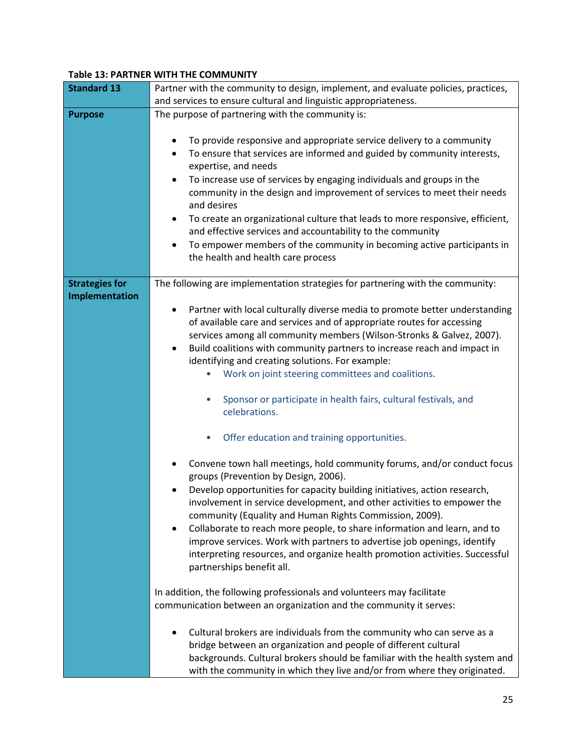#### **Table 13: PARTNER WITH THE COMMUNITY**

| <b>Standard 13</b>    | Partner with the community to design, implement, and evaluate policies, practices,         |  |
|-----------------------|--------------------------------------------------------------------------------------------|--|
|                       | and services to ensure cultural and linguistic appropriateness.                            |  |
|                       |                                                                                            |  |
| <b>Purpose</b>        | The purpose of partnering with the community is:                                           |  |
|                       |                                                                                            |  |
|                       | To provide responsive and appropriate service delivery to a community                      |  |
|                       | To ensure that services are informed and guided by community interests,                    |  |
|                       |                                                                                            |  |
|                       | expertise, and needs                                                                       |  |
|                       | To increase use of services by engaging individuals and groups in the<br>$\bullet$         |  |
|                       | community in the design and improvement of services to meet their needs                    |  |
|                       |                                                                                            |  |
|                       | and desires                                                                                |  |
|                       | To create an organizational culture that leads to more responsive, efficient,<br>$\bullet$ |  |
|                       | and effective services and accountability to the community                                 |  |
|                       |                                                                                            |  |
|                       | To empower members of the community in becoming active participants in<br>٠                |  |
|                       | the health and health care process                                                         |  |
|                       |                                                                                            |  |
| <b>Strategies for</b> | The following are implementation strategies for partnering with the community:             |  |
|                       |                                                                                            |  |
| Implementation        |                                                                                            |  |
|                       | Partner with local culturally diverse media to promote better understanding<br>٠           |  |
|                       | of available care and services and of appropriate routes for accessing                     |  |
|                       | services among all community members (Wilson-Stronks & Galvez, 2007).                      |  |
|                       |                                                                                            |  |
|                       | Build coalitions with community partners to increase reach and impact in<br>$\bullet$      |  |
|                       | identifying and creating solutions. For example:                                           |  |
|                       | Work on joint steering committees and coalitions.                                          |  |
|                       |                                                                                            |  |
|                       |                                                                                            |  |
|                       | Sponsor or participate in health fairs, cultural festivals, and                            |  |
|                       | celebrations.                                                                              |  |
|                       |                                                                                            |  |
|                       |                                                                                            |  |
|                       | Offer education and training opportunities.                                                |  |
|                       |                                                                                            |  |
|                       | Convene town hall meetings, hold community forums, and/or conduct focus                    |  |
|                       | groups (Prevention by Design, 2006).                                                       |  |
|                       |                                                                                            |  |
|                       | Develop opportunities for capacity building initiatives, action research,                  |  |
|                       | involvement in service development, and other activities to empower the                    |  |
|                       | community (Equality and Human Rights Commission, 2009).                                    |  |
|                       | Collaborate to reach more people, to share information and learn, and to                   |  |
|                       |                                                                                            |  |
|                       | improve services. Work with partners to advertise job openings, identify                   |  |
|                       | interpreting resources, and organize health promotion activities. Successful               |  |
|                       | partnerships benefit all.                                                                  |  |
|                       |                                                                                            |  |
|                       |                                                                                            |  |
|                       | In addition, the following professionals and volunteers may facilitate                     |  |
|                       | communication between an organization and the community it serves:                         |  |
|                       |                                                                                            |  |
|                       |                                                                                            |  |
|                       | Cultural brokers are individuals from the community who can serve as a                     |  |
|                       | bridge between an organization and people of different cultural                            |  |
|                       | backgrounds. Cultural brokers should be familiar with the health system and                |  |
|                       | with the community in which they live and/or from where they originated.                   |  |
|                       |                                                                                            |  |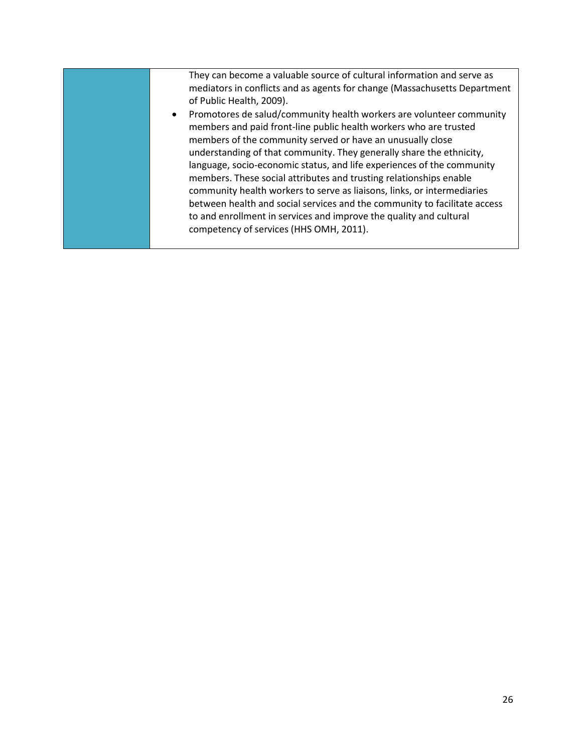| They can become a valuable source of cultural information and serve as<br>mediators in conflicts and as agents for change (Massachusetts Department<br>of Public Health, 2009).                                                                                                                                                                                                                                                                                                                                                                                                                                                                                                                          |
|----------------------------------------------------------------------------------------------------------------------------------------------------------------------------------------------------------------------------------------------------------------------------------------------------------------------------------------------------------------------------------------------------------------------------------------------------------------------------------------------------------------------------------------------------------------------------------------------------------------------------------------------------------------------------------------------------------|
| Promotores de salud/community health workers are volunteer community<br>members and paid front-line public health workers who are trusted<br>members of the community served or have an unusually close<br>understanding of that community. They generally share the ethnicity,<br>language, socio-economic status, and life experiences of the community<br>members. These social attributes and trusting relationships enable<br>community health workers to serve as liaisons, links, or intermediaries<br>between health and social services and the community to facilitate access<br>to and enrollment in services and improve the quality and cultural<br>competency of services (HHS OMH, 2011). |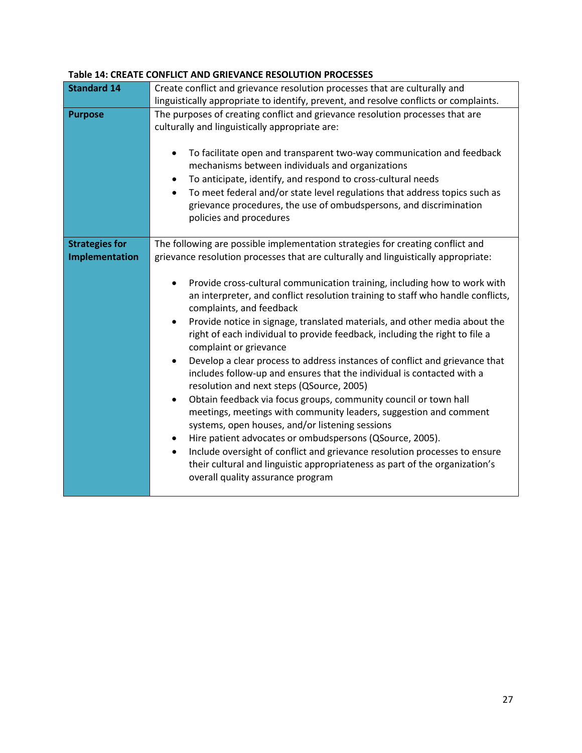|                       | Table 14: CREATE CONFLICT AND GRIEVANCE RESOLUTION PROCESSES                                                                                                                                                                                                                                                                                                                                                                                                                                                                                                                                                                                                                                                                                                                                                                                                                                                                                                                                                                                                                                  |  |  |
|-----------------------|-----------------------------------------------------------------------------------------------------------------------------------------------------------------------------------------------------------------------------------------------------------------------------------------------------------------------------------------------------------------------------------------------------------------------------------------------------------------------------------------------------------------------------------------------------------------------------------------------------------------------------------------------------------------------------------------------------------------------------------------------------------------------------------------------------------------------------------------------------------------------------------------------------------------------------------------------------------------------------------------------------------------------------------------------------------------------------------------------|--|--|
| <b>Standard 14</b>    | Create conflict and grievance resolution processes that are culturally and                                                                                                                                                                                                                                                                                                                                                                                                                                                                                                                                                                                                                                                                                                                                                                                                                                                                                                                                                                                                                    |  |  |
|                       | linguistically appropriate to identify, prevent, and resolve conflicts or complaints.                                                                                                                                                                                                                                                                                                                                                                                                                                                                                                                                                                                                                                                                                                                                                                                                                                                                                                                                                                                                         |  |  |
| <b>Purpose</b>        | The purposes of creating conflict and grievance resolution processes that are<br>culturally and linguistically appropriate are:<br>To facilitate open and transparent two-way communication and feedback<br>٠<br>mechanisms between individuals and organizations<br>To anticipate, identify, and respond to cross-cultural needs<br>$\bullet$<br>To meet federal and/or state level regulations that address topics such as<br>$\bullet$<br>grievance procedures, the use of ombudspersons, and discrimination<br>policies and procedures                                                                                                                                                                                                                                                                                                                                                                                                                                                                                                                                                    |  |  |
| <b>Strategies for</b> | The following are possible implementation strategies for creating conflict and                                                                                                                                                                                                                                                                                                                                                                                                                                                                                                                                                                                                                                                                                                                                                                                                                                                                                                                                                                                                                |  |  |
| Implementation        | grievance resolution processes that are culturally and linguistically appropriate:                                                                                                                                                                                                                                                                                                                                                                                                                                                                                                                                                                                                                                                                                                                                                                                                                                                                                                                                                                                                            |  |  |
|                       | Provide cross-cultural communication training, including how to work with<br>٠<br>an interpreter, and conflict resolution training to staff who handle conflicts,<br>complaints, and feedback<br>Provide notice in signage, translated materials, and other media about the<br>٠<br>right of each individual to provide feedback, including the right to file a<br>complaint or grievance<br>Develop a clear process to address instances of conflict and grievance that<br>$\bullet$<br>includes follow-up and ensures that the individual is contacted with a<br>resolution and next steps (QSource, 2005)<br>Obtain feedback via focus groups, community council or town hall<br>٠<br>meetings, meetings with community leaders, suggestion and comment<br>systems, open houses, and/or listening sessions<br>Hire patient advocates or ombudspersons (QSource, 2005).<br>٠<br>Include oversight of conflict and grievance resolution processes to ensure<br>$\bullet$<br>their cultural and linguistic appropriateness as part of the organization's<br>overall quality assurance program |  |  |

#### **Table 14: CREATE CONFLICT AND GRIEVANCE RESOLUTION PROCESSES**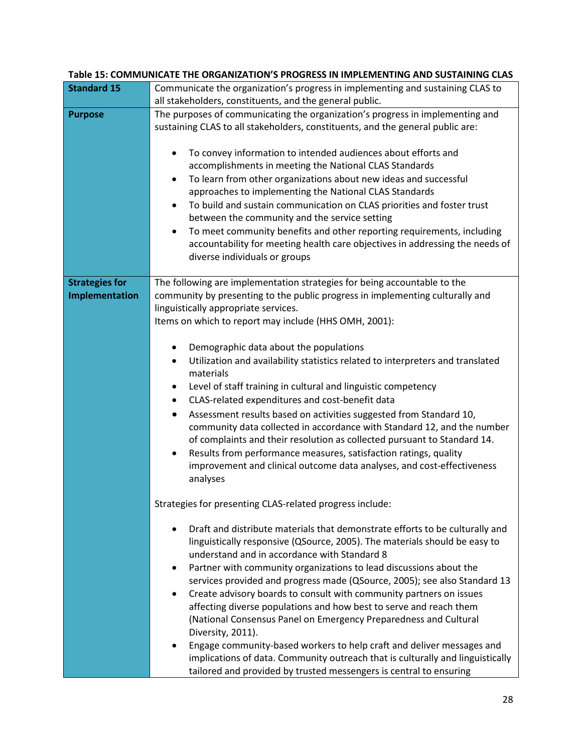|                                         | Table 15: COMMUNICATE THE ORGANIZATION'S PROGRESS IN IMPLEMENTING AND SUSTAINING CLAS                                                                                                                                                                                                                                                                                                                                                                                                                                                                                                                                                                                                                                                                               |
|-----------------------------------------|---------------------------------------------------------------------------------------------------------------------------------------------------------------------------------------------------------------------------------------------------------------------------------------------------------------------------------------------------------------------------------------------------------------------------------------------------------------------------------------------------------------------------------------------------------------------------------------------------------------------------------------------------------------------------------------------------------------------------------------------------------------------|
| <b>Standard 15</b>                      | Communicate the organization's progress in implementing and sustaining CLAS to                                                                                                                                                                                                                                                                                                                                                                                                                                                                                                                                                                                                                                                                                      |
|                                         | all stakeholders, constituents, and the general public.                                                                                                                                                                                                                                                                                                                                                                                                                                                                                                                                                                                                                                                                                                             |
| <b>Purpose</b>                          | The purposes of communicating the organization's progress in implementing and<br>sustaining CLAS to all stakeholders, constituents, and the general public are:                                                                                                                                                                                                                                                                                                                                                                                                                                                                                                                                                                                                     |
|                                         | To convey information to intended audiences about efforts and<br>accomplishments in meeting the National CLAS Standards<br>To learn from other organizations about new ideas and successful<br>٠<br>approaches to implementing the National CLAS Standards<br>To build and sustain communication on CLAS priorities and foster trust<br>$\bullet$<br>between the community and the service setting<br>To meet community benefits and other reporting requirements, including<br>$\bullet$<br>accountability for meeting health care objectives in addressing the needs of<br>diverse individuals or groups                                                                                                                                                          |
| <b>Strategies for</b><br>Implementation | The following are implementation strategies for being accountable to the<br>community by presenting to the public progress in implementing culturally and<br>linguistically appropriate services.<br>Items on which to report may include (HHS OMH, 2001):                                                                                                                                                                                                                                                                                                                                                                                                                                                                                                          |
|                                         | Demographic data about the populations<br>٠<br>Utilization and availability statistics related to interpreters and translated<br>$\bullet$<br>materials<br>Level of staff training in cultural and linguistic competency<br>$\bullet$<br>CLAS-related expenditures and cost-benefit data<br>$\bullet$<br>Assessment results based on activities suggested from Standard 10,<br>$\bullet$<br>community data collected in accordance with Standard 12, and the number<br>of complaints and their resolution as collected pursuant to Standard 14.<br>Results from performance measures, satisfaction ratings, quality<br>٠<br>improvement and clinical outcome data analyses, and cost-effectiveness<br>analyses                                                      |
|                                         | Strategies for presenting CLAS-related progress include:                                                                                                                                                                                                                                                                                                                                                                                                                                                                                                                                                                                                                                                                                                            |
|                                         | Draft and distribute materials that demonstrate efforts to be culturally and<br>linguistically responsive (QSource, 2005). The materials should be easy to<br>understand and in accordance with Standard 8<br>Partner with community organizations to lead discussions about the<br>٠<br>services provided and progress made (QSource, 2005); see also Standard 13<br>Create advisory boards to consult with community partners on issues<br>affecting diverse populations and how best to serve and reach them<br>(National Consensus Panel on Emergency Preparedness and Cultural<br>Diversity, 2011).<br>Engage community-based workers to help craft and deliver messages and<br>implications of data. Community outreach that is culturally and linguistically |

#### **Table 15: COMMUNICATE THE ORGANIZATION'S PROGRESS IN IMPLEMENTING AND SUSTAINING CLAS**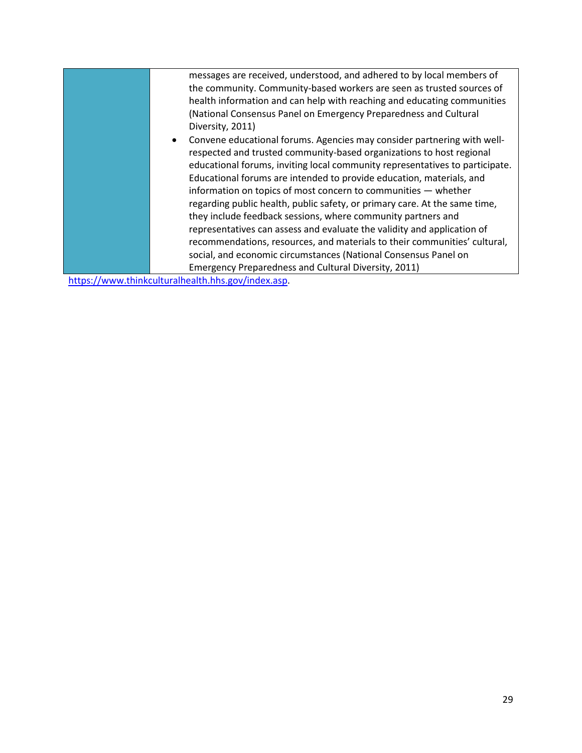| messages are received, understood, and adhered to by local members of<br>the community. Community-based workers are seen as trusted sources of<br>health information and can help with reaching and educating communities<br>(National Consensus Panel on Emergency Preparedness and Cultural<br>Diversity, 2011)<br>Convene educational forums. Agencies may consider partnering with well-<br>respected and trusted community-based organizations to host regional<br>educational forums, inviting local community representatives to participate.<br>Educational forums are intended to provide education, materials, and<br>information on topics of most concern to communities - whether<br>regarding public health, public safety, or primary care. At the same time,<br>they include feedback sessions, where community partners and<br>representatives can assess and evaluate the validity and application of<br>recommendations, resources, and materials to their communities' cultural,<br>social, and economic circumstances (National Consensus Panel on<br>Emergency Preparedness and Cultural Diversity, 2011) |  |
|---------------------------------------------------------------------------------------------------------------------------------------------------------------------------------------------------------------------------------------------------------------------------------------------------------------------------------------------------------------------------------------------------------------------------------------------------------------------------------------------------------------------------------------------------------------------------------------------------------------------------------------------------------------------------------------------------------------------------------------------------------------------------------------------------------------------------------------------------------------------------------------------------------------------------------------------------------------------------------------------------------------------------------------------------------------------------------------------------------------------------------|--|
|                                                                                                                                                                                                                                                                                                                                                                                                                                                                                                                                                                                                                                                                                                                                                                                                                                                                                                                                                                                                                                                                                                                                 |  |
|                                                                                                                                                                                                                                                                                                                                                                                                                                                                                                                                                                                                                                                                                                                                                                                                                                                                                                                                                                                                                                                                                                                                 |  |
|                                                                                                                                                                                                                                                                                                                                                                                                                                                                                                                                                                                                                                                                                                                                                                                                                                                                                                                                                                                                                                                                                                                                 |  |
|                                                                                                                                                                                                                                                                                                                                                                                                                                                                                                                                                                                                                                                                                                                                                                                                                                                                                                                                                                                                                                                                                                                                 |  |
|                                                                                                                                                                                                                                                                                                                                                                                                                                                                                                                                                                                                                                                                                                                                                                                                                                                                                                                                                                                                                                                                                                                                 |  |
|                                                                                                                                                                                                                                                                                                                                                                                                                                                                                                                                                                                                                                                                                                                                                                                                                                                                                                                                                                                                                                                                                                                                 |  |
|                                                                                                                                                                                                                                                                                                                                                                                                                                                                                                                                                                                                                                                                                                                                                                                                                                                                                                                                                                                                                                                                                                                                 |  |
|                                                                                                                                                                                                                                                                                                                                                                                                                                                                                                                                                                                                                                                                                                                                                                                                                                                                                                                                                                                                                                                                                                                                 |  |

[https://www.thinkculturalhealth.hhs.gov/index.asp.](https://www.thinkculturalhealth.hhs.gov/index.asp)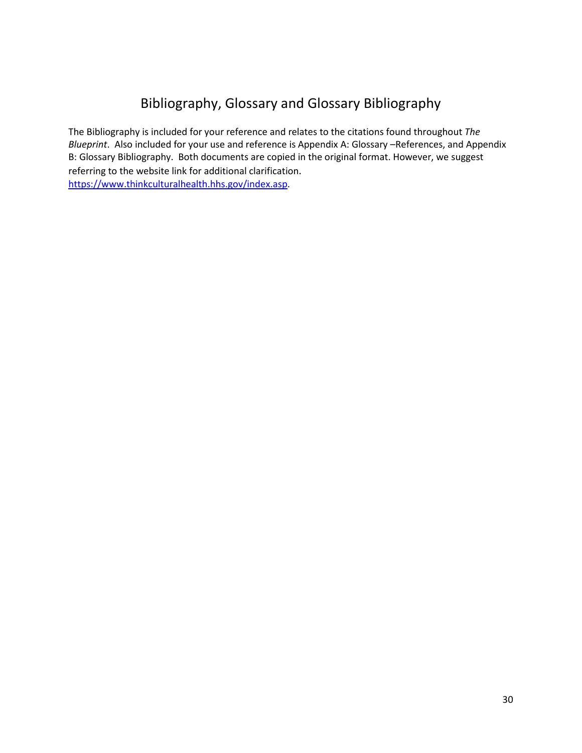## Bibliography, Glossary and Glossary Bibliography

The Bibliography is included for your reference and relates to the citations found throughout *The Blueprint*. Also included for your use and reference is Appendix A: Glossary –References, and Appendix B: Glossary Bibliography. Both documents are copied in the original format. However, we suggest referring to the website link for additional clarification. [https://www.thinkculturalhealth.hhs.gov/index.asp.](https://www.thinkculturalhealth.hhs.gov/index.asp)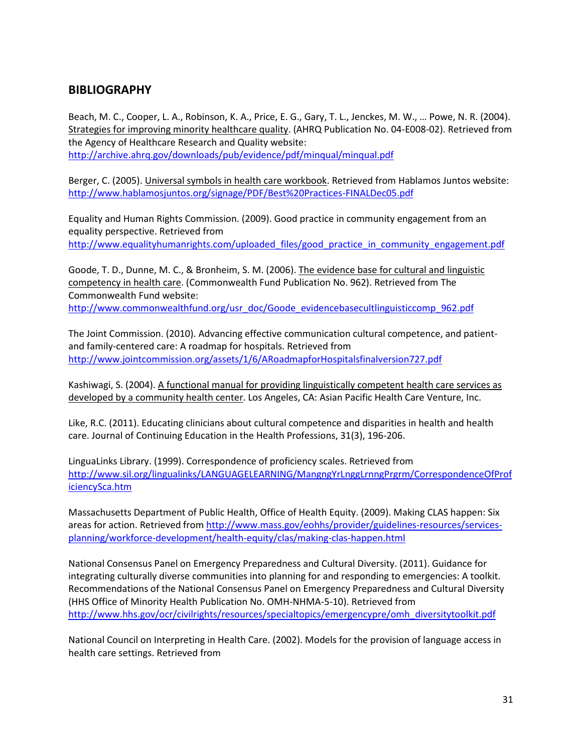### **BIBLIOGRAPHY**

Beach, M. C., Cooper, L. A., Robinson, K. A., Price, E. G., Gary, T. L., Jenckes, M. W., … Powe, N. R. (2004). Strategies for improving minority healthcare quality. (AHRQ Publication No. 04-E008-02). Retrieved from the Agency of Healthcare Research and Quality website: <http://archive.ahrq.gov/downloads/pub/evidence/pdf/minqual/minqual.pdf>

Berger, C. (2005). Universal symbols in health care workbook. Retrieved from Hablamos Juntos website:

<http://www.hablamosjuntos.org/signage/PDF/Best%20Practices-FINALDec05.pdf>

Equality and Human Rights Commission. (2009). Good practice in community engagement from an equality perspective. Retrieved from [http://www.equalityhumanrights.com/uploaded\\_files/good\\_practice\\_in\\_community\\_engagement.pdf](http://www.equalityhumanrights.com/uploaded_files/good_practice_in_community_engagement.pdf)

Goode, T. D., Dunne, M. C., & Bronheim, S. M. (2006). The evidence base for cultural and linguistic competency in health care. (Commonwealth Fund Publication No. 962). Retrieved from The Commonwealth Fund website:

[http://www.commonwealthfund.org/usr\\_doc/Goode\\_evidencebasecultlinguisticcomp\\_962.pdf](http://www.commonwealthfund.org/usr_doc/Goode_evidencebasecultlinguisticcomp_962.pdf)

The Joint Commission. (2010). Advancing effective communication cultural competence, and patientand family-centered care: A roadmap for hospitals. Retrieved from <http://www.jointcommission.org/assets/1/6/ARoadmapforHospitalsfinalversion727.pdf>

Kashiwagi, S. (2004). A functional manual for providing linguistically competent health care services as developed by a community health center. Los Angeles, CA: Asian Pacific Health Care Venture, Inc.

Like, R.C. (2011). Educating clinicians about cultural competence and disparities in health and health care. Journal of Continuing Education in the Health Professions, 31(3), 196-206.

LinguaLinks Library. (1999). Correspondence of proficiency scales. Retrieved from [http://www.sil.org/lingualinks/LANGUAGELEARNING/MangngYrLnggLrnngPrgrm/CorrespondenceOfProf](http://www.sil.org/lingualinks/LANGUAGELEARNING/MangngYrLnggLrnngPrgrm/CorrespondenceOfProficiencySca.htm) [iciencySca.htm](http://www.sil.org/lingualinks/LANGUAGELEARNING/MangngYrLnggLrnngPrgrm/CorrespondenceOfProficiencySca.htm)

Massachusetts Department of Public Health, Office of Health Equity. (2009). Making CLAS happen: Six areas for action. Retrieved from [http://www.mass.gov/eohhs/provider/guidelines-resources/services](http://www.mass.gov/eohhs/provider/guidelines-resources/services-planning/workforce-development/health-equity/clas/making-clas-happen.html)[planning/workforce-development/health-equity/clas/making-clas-happen.html](http://www.mass.gov/eohhs/provider/guidelines-resources/services-planning/workforce-development/health-equity/clas/making-clas-happen.html)

National Consensus Panel on Emergency Preparedness and Cultural Diversity. (2011). Guidance for integrating culturally diverse communities into planning for and responding to emergencies: A toolkit. Recommendations of the National Consensus Panel on Emergency Preparedness and Cultural Diversity (HHS Office of Minority Health Publication No. OMH-NHMA-5-10). Retrieved from [http://www.hhs.gov/ocr/civilrights/resources/specialtopics/emergencypre/omh\\_diversitytoolkit.pdf](http://www.hhs.gov/ocr/civilrights/resources/specialtopics/emergencypre/omh_diversitytoolkit.pdf)

National Council on Interpreting in Health Care. (2002). Models for the provision of language access in health care settings. Retrieved from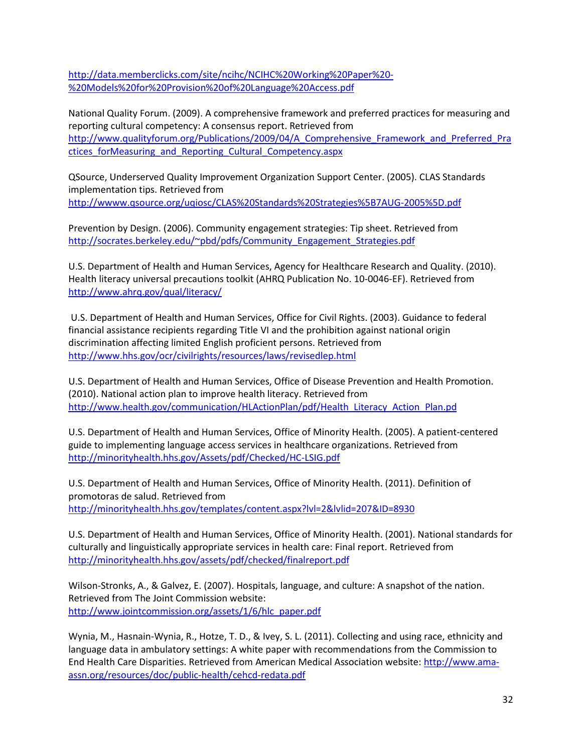[http://data.memberclicks.com/site/ncihc/NCIHC%20Working%20Paper%20-](http://data.memberclicks.com/site/ncihc/NCIHC%20Working%20Paper%20-%20Models%20for%20Provision%20of%20Language%20Access.pdf) [%20Models%20for%20Provision%20of%20Language%20Access.pdf](http://data.memberclicks.com/site/ncihc/NCIHC%20Working%20Paper%20-%20Models%20for%20Provision%20of%20Language%20Access.pdf)

National Quality Forum. (2009). A comprehensive framework and preferred practices for measuring and reporting cultural competency: A consensus report. Retrieved from [http://www.qualityforum.org/Publications/2009/04/A\\_Comprehensive\\_Framework\\_and\\_Preferred\\_Pra](http://www.qualityforum.org/Publications/2009/04/A_Comprehensive_Framework_and_Preferred_Practices_forMeasuring_and_Reporting_Cultural_Competency.aspx) ctices forMeasuring and Reporting Cultural Competency.aspx

QSource, Underserved Quality Improvement Organization Support Center. (2005). CLAS Standards implementation tips. Retrieved from <http://wwww.qsource.org/uqiosc/CLAS%20Standards%20Strategies%5B7AUG-2005%5D.pdf>

Prevention by Design. (2006). Community engagement strategies: Tip sheet. Retrieved from [http://socrates.berkeley.edu/~pbd/pdfs/Community\\_Engagement\\_Strategies.pdf](http://socrates.berkeley.edu/~pbd/pdfs/Community_Engagement_Strategies.pdf)

U.S. Department of Health and Human Services, Agency for Healthcare Research and Quality. (2010). Health literacy universal precautions toolkit (AHRQ Publication No. 10-0046-EF). Retrieved from <http://www.ahrq.gov/qual/literacy/>

U.S. Department of Health and Human Services, Office for Civil Rights. (2003). Guidance to federal financial assistance recipients regarding Title VI and the prohibition against national origin discrimination affecting limited English proficient persons. Retrieved from <http://www.hhs.gov/ocr/civilrights/resources/laws/revisedlep.html>

U.S. Department of Health and Human Services, Office of Disease Prevention and Health Promotion. (2010). National action plan to improve health literacy. Retrieved from [http://www.health.gov/communication/HLActionPlan/pdf/Health\\_Literacy\\_Action\\_Plan.pd](http://www.health.gov/communication/HLActionPlan/pdf/Health_Literacy_Action_Plan.pd)

U.S. Department of Health and Human Services, Office of Minority Health. (2005). A patient-centered guide to implementing language access services in healthcare organizations. Retrieved from <http://minorityhealth.hhs.gov/Assets/pdf/Checked/HC-LSIG.pdf>

U.S. Department of Health and Human Services, Office of Minority Health. (2011). Definition of promotoras de salud. Retrieved from <http://minorityhealth.hhs.gov/templates/content.aspx?lvl=2&lvlid=207&ID=8930>

U.S. Department of Health and Human Services, Office of Minority Health. (2001). National standards for culturally and linguistically appropriate services in health care: Final report. Retrieved from <http://minorityhealth.hhs.gov/assets/pdf/checked/finalreport.pdf>

Wilson-Stronks, A., & Galvez, E. (2007). Hospitals, language, and culture: A snapshot of the nation. Retrieved from The Joint Commission website: [http://www.jointcommission.org/assets/1/6/hlc\\_paper.pdf](http://www.jointcommission.org/assets/1/6/hlc_paper.pdf)

Wynia, M., Hasnain-Wynia, R., Hotze, T. D., & Ivey, S. L. (2011). Collecting and using race, ethnicity and language data in ambulatory settings: A white paper with recommendations from the Commission to End Health Care Disparities. Retrieved from American Medical Association website: [http://www.ama](http://www.ama-assn.org/resources/doc/public-health/cehcd-redata.pdf)[assn.org/resources/doc/public-health/cehcd-redata.pdf](http://www.ama-assn.org/resources/doc/public-health/cehcd-redata.pdf)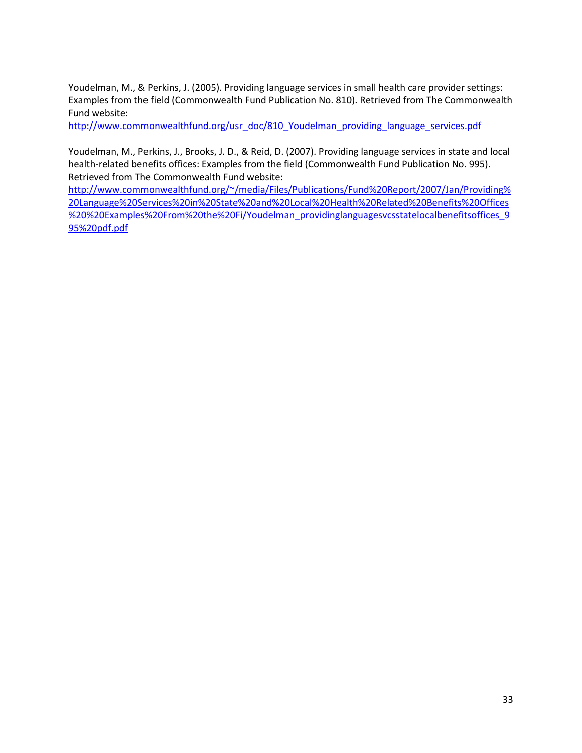Youdelman, M., & Perkins, J. (2005). Providing language services in small health care provider settings: Examples from the field (Commonwealth Fund Publication No. 810). Retrieved from The Commonwealth Fund website:

[http://www.commonwealthfund.org/usr\\_doc/810\\_Youdelman\\_providing\\_language\\_services.pdf](http://www.commonwealthfund.org/usr_doc/810_Youdelman_providing_language_services.pdf)

Youdelman, M., Perkins, J., Brooks, J. D., & Reid, D. (2007). Providing language services in state and local health-related benefits offices: Examples from the field (Commonwealth Fund Publication No. 995). Retrieved from The Commonwealth Fund website:

[http://www.commonwealthfund.org/~/media/Files/Publications/Fund%20Report/2007/Jan/Providing%](http://www.commonwealthfund.org/~/media/Files/Publications/Fund%20Report/2007/Jan/Providing%20Language%20Services%20in%20State%20and%20Local%20Health%20Related%20Benefits%20Offices%20%20Examples%20From%20the%20Fi/Youdelman_providinglanguagesvcsstatelocalbenefitsoffices_995%20pdf.pdf) [20Language%20Services%20in%20State%20and%20Local%20Health%20Related%20Benefits%20Offices](http://www.commonwealthfund.org/~/media/Files/Publications/Fund%20Report/2007/Jan/Providing%20Language%20Services%20in%20State%20and%20Local%20Health%20Related%20Benefits%20Offices%20%20Examples%20From%20the%20Fi/Youdelman_providinglanguagesvcsstatelocalbenefitsoffices_995%20pdf.pdf) [%20%20Examples%20From%20the%20Fi/Youdelman\\_providinglanguagesvcsstatelocalbenefitsoffices\\_9](http://www.commonwealthfund.org/~/media/Files/Publications/Fund%20Report/2007/Jan/Providing%20Language%20Services%20in%20State%20and%20Local%20Health%20Related%20Benefits%20Offices%20%20Examples%20From%20the%20Fi/Youdelman_providinglanguagesvcsstatelocalbenefitsoffices_995%20pdf.pdf) [95%20pdf.pdf](http://www.commonwealthfund.org/~/media/Files/Publications/Fund%20Report/2007/Jan/Providing%20Language%20Services%20in%20State%20and%20Local%20Health%20Related%20Benefits%20Offices%20%20Examples%20From%20the%20Fi/Youdelman_providinglanguagesvcsstatelocalbenefitsoffices_995%20pdf.pdf)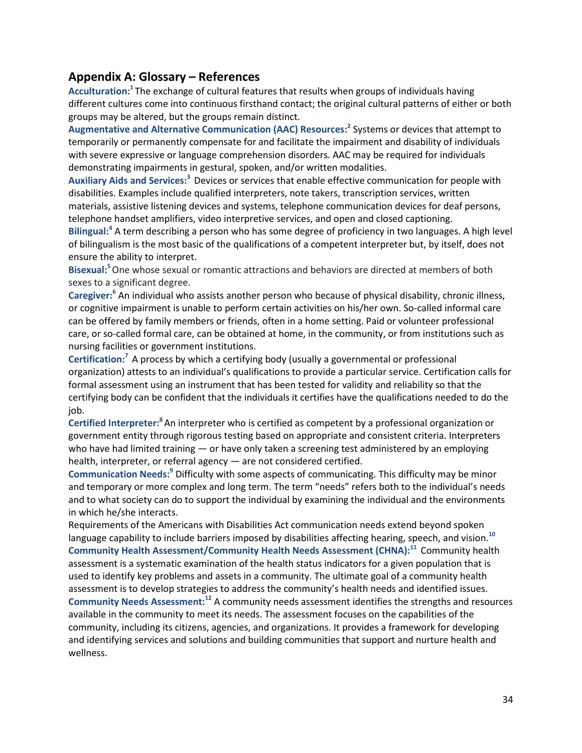### **Appendix A: Glossary – References**

**Acculturation:1** The exchange of cultural features that results when groups of individuals having different cultures come into continuous firsthand contact; the original cultural patterns of either or both groups may be altered, but the groups remain distinct.

**Augmentative and Alternative Communication (AAC) Resources:2** Systems or devices that attempt to temporarily or permanently compensate for and facilitate the impairment and disability of individuals with severe expressive or language comprehension disorders. AAC may be required for individuals demonstrating impairments in gestural, spoken, and/or written modalities.

Auxiliary Aids and Services:<sup>3</sup> Devices or services that enable effective communication for people with disabilities. Examples include qualified interpreters, note takers, transcription services, written materials, assistive listening devices and systems, telephone communication devices for deaf persons, telephone handset amplifiers, video interpretive services, and open and closed captioning.

**Bilingual: <sup>4</sup>** A term describing a person who has some degree of proficiency in two languages. A high level of bilingualism is the most basic of the qualifications of a competent interpreter but, by itself, does not ensure the ability to interpret.

**Bisexual:5**One whose sexual or romantic attractions and behaviors are directed at members of both sexes to a significant degree.

Caregiver:<sup>6</sup> An individual who assists another person who because of physical disability, chronic illness, or cognitive impairment is unable to perform certain activities on his/her own. So-called informal care can be offered by family members or friends, often in a home setting. Paid or volunteer professional care, or so-called formal care, can be obtained at home, in the community, or from institutions such as nursing facilities or government institutions.

**Certification:7** A process by which a certifying body (usually a governmental or professional organization) attests to an individual's qualifications to provide a particular service. Certification calls for formal assessment using an instrument that has been tested for validity and reliability so that the certifying body can be confident that the individuals it certifies have the qualifications needed to do the job.

**Certified Interpreter:8**An interpreter who is certified as competent by a professional organization or government entity through rigorous testing based on appropriate and consistent criteria. Interpreters who have had limited training  $-$  or have only taken a screening test administered by an employing health, interpreter, or referral agency — are not considered certified.

Communication Needs:<sup>9</sup> Difficulty with some aspects of communicating. This difficulty may be minor and temporary or more complex and long term. The term "needs" refers both to the individual's needs and to what society can do to support the individual by examining the individual and the environments in which he/she interacts.

Requirements of the Americans with Disabilities Act communication needs extend beyond spoken language capability to include barriers imposed by disabilities affecting hearing, speech, and vision.**<sup>10</sup> Community Health Assessment/Community Health Needs Assessment (CHNA):11** Community health assessment is a systematic examination of the health status indicators for a given population that is used to identify key problems and assets in a community. The ultimate goal of a community health assessment is to develop strategies to address the community's health needs and identified issues. **Community Needs Assessment: <sup>12</sup>** A community needs assessment identifies the strengths and resources available in the community to meet its needs. The assessment focuses on the capabilities of the community, including its citizens, agencies, and organizations. It provides a framework for developing and identifying services and solutions and building communities that support and nurture health and wellness.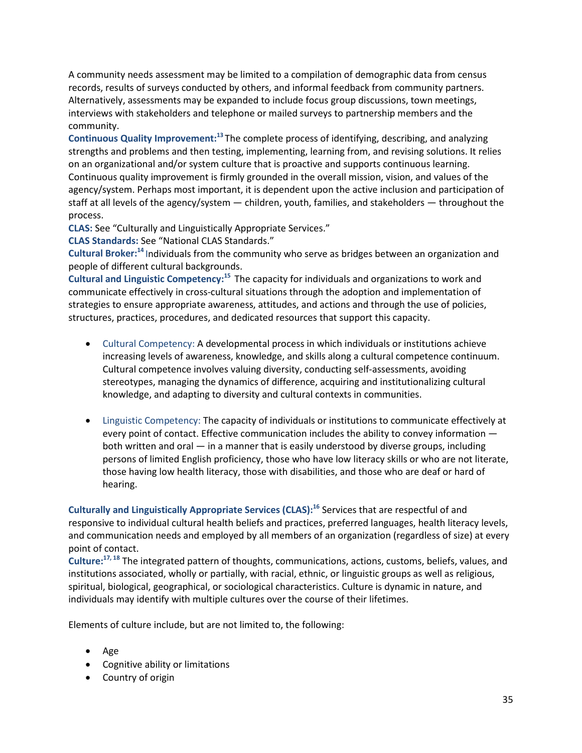A community needs assessment may be limited to a compilation of demographic data from census records, results of surveys conducted by others, and informal feedback from community partners. Alternatively, assessments may be expanded to include focus group discussions, town meetings, interviews with stakeholders and telephone or mailed surveys to partnership members and the community.

**Continuous Quality Improvement: <sup>13</sup>** The complete process of identifying, describing, and analyzing strengths and problems and then testing, implementing, learning from, and revising solutions. It relies on an organizational and/or system culture that is proactive and supports continuous learning. Continuous quality improvement is firmly grounded in the overall mission, vision, and values of the agency/system. Perhaps most important, it is dependent upon the active inclusion and participation of staff at all levels of the agency/system — children, youth, families, and stakeholders — throughout the process.

**CLAS:** See "Culturally and Linguistically Appropriate Services."

**CLAS Standards:** See "National CLAS Standards."

Cultural Broker:<sup>14</sup> Individuals from the community who serve as bridges between an organization and people of different cultural backgrounds.

**Cultural and Linguistic Competency:15** The capacity for individuals and organizations to work and communicate effectively in cross-cultural situations through the adoption and implementation of strategies to ensure appropriate awareness, attitudes, and actions and through the use of policies, structures, practices, procedures, and dedicated resources that support this capacity.

- Cultural Competency: A developmental process in which individuals or institutions achieve increasing levels of awareness, knowledge, and skills along a cultural competence continuum. Cultural competence involves valuing diversity, conducting self-assessments, avoiding stereotypes, managing the dynamics of difference, acquiring and institutionalizing cultural knowledge, and adapting to diversity and cultural contexts in communities.
- Linguistic Competency: The capacity of individuals or institutions to communicate effectively at every point of contact. Effective communication includes the ability to convey information both written and oral — in a manner that is easily understood by diverse groups, including persons of limited English proficiency, those who have low literacy skills or who are not literate, those having low health literacy, those with disabilities, and those who are deaf or hard of hearing.

**Culturally and Linguistically Appropriate Services (CLAS):16** Services that are respectful of and responsive to individual cultural health beliefs and practices, preferred languages, health literacy levels, and communication needs and employed by all members of an organization (regardless of size) at every point of contact.

**Culture:17, <sup>18</sup>** The integrated pattern of thoughts, communications, actions, customs, beliefs, values, and institutions associated, wholly or partially, with racial, ethnic, or linguistic groups as well as religious, spiritual, biological, geographical, or sociological characteristics. Culture is dynamic in nature, and individuals may identify with multiple cultures over the course of their lifetimes.

Elements of culture include, but are not limited to, the following:

- Age
- Cognitive ability or limitations
- Country of origin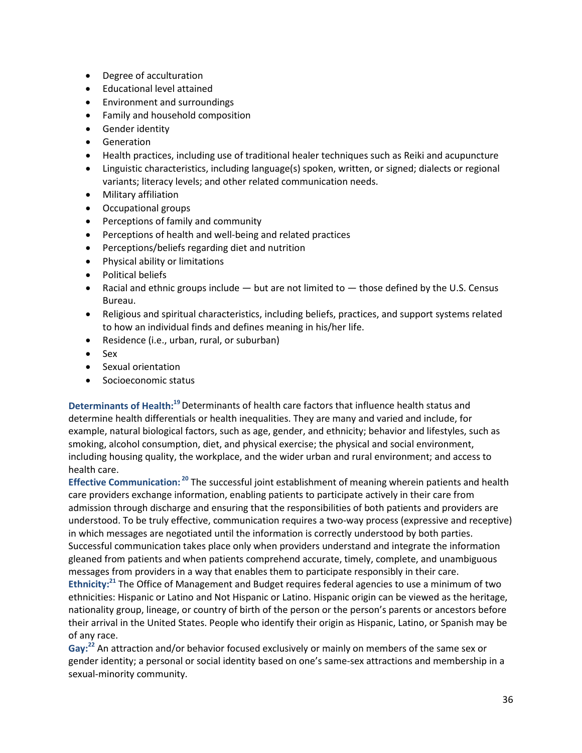- Degree of acculturation
- Educational level attained
- Environment and surroundings
- Family and household composition
- Gender identity
- Generation
- Health practices, including use of traditional healer techniques such as Reiki and acupuncture
- Linguistic characteristics, including language(s) spoken, written, or signed; dialects or regional variants; literacy levels; and other related communication needs.
- Military affiliation
- Occupational groups
- Perceptions of family and community
- Perceptions of health and well-being and related practices
- Perceptions/beliefs regarding diet and nutrition
- Physical ability or limitations
- Political beliefs
- Racial and ethnic groups include  $-$  but are not limited to  $-$  those defined by the U.S. Census Bureau.
- Religious and spiritual characteristics, including beliefs, practices, and support systems related to how an individual finds and defines meaning in his/her life.
- Residence (i.e., urban, rural, or suburban)
- Sex
- Sexual orientation
- Socioeconomic status

**Determinants of Health:19**Determinants of health care factors that influence health status and determine health differentials or health inequalities. They are many and varied and include, for example, natural biological factors, such as age, gender, and ethnicity; behavior and lifestyles, such as smoking, alcohol consumption, diet, and physical exercise; the physical and social environment, including housing quality, the workplace, and the wider urban and rural environment; and access to health care.

**Effective Communication: <sup>20</sup>** The successful joint establishment of meaning wherein patients and health care providers exchange information, enabling patients to participate actively in their care from admission through discharge and ensuring that the responsibilities of both patients and providers are understood. To be truly effective, communication requires a two-way process (expressive and receptive) in which messages are negotiated until the information is correctly understood by both parties. Successful communication takes place only when providers understand and integrate the information gleaned from patients and when patients comprehend accurate, timely, complete, and unambiguous messages from providers in a way that enables them to participate responsibly in their care.

**Ethnicity:21** The Office of Management and Budget requires federal agencies to use a minimum of two ethnicities: Hispanic or Latino and Not Hispanic or Latino. Hispanic origin can be viewed as the heritage, nationality group, lineage, or country of birth of the person or the person's parents or ancestors before their arrival in the United States. People who identify their origin as Hispanic, Latino, or Spanish may be of any race.

Gay:<sup>22</sup> An attraction and/or behavior focused exclusively or mainly on members of the same sex or gender identity; a personal or social identity based on one's same-sex attractions and membership in a sexual-minority community.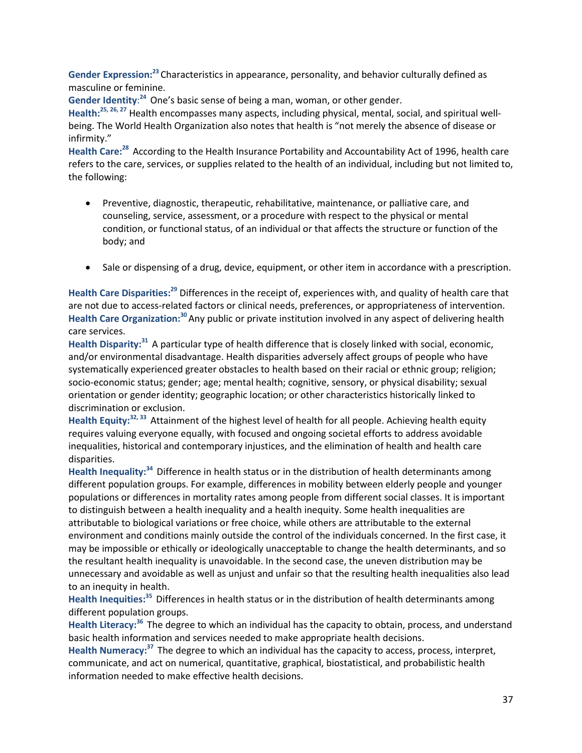**Gender Expression:23** Characteristics in appearance, personality, and behavior culturally defined as masculine or feminine.

Gender Identity:<sup>24</sup> One's basic sense of being a man, woman, or other gender.

**Health: 25, 26, 27** Health encompasses many aspects, including physical, mental, social, and spiritual wellbeing. The World Health Organization also notes that health is "not merely the absence of disease or infirmity."

**Health Care:28** According to the Health Insurance Portability and Accountability Act of 1996, health care refers to the care, services, or supplies related to the health of an individual, including but not limited to, the following:

- Preventive, diagnostic, therapeutic, rehabilitative, maintenance, or palliative care, and counseling, service, assessment, or a procedure with respect to the physical or mental condition, or functional status, of an individual or that affects the structure or function of the body; and
- Sale or dispensing of a drug, device, equipment, or other item in accordance with a prescription.

**Health Care Disparities: <sup>29</sup>** Differences in the receipt of, experiences with, and quality of health care that are not due to access-related factors or clinical needs, preferences, or appropriateness of intervention. **Health Care Organization: <sup>30</sup>**Any public or private institution involved in any aspect of delivering health care services.

**Health Disparity: <sup>31</sup>** A particular type of health difference that is closely linked with social, economic, and/or environmental disadvantage. Health disparities adversely affect groups of people who have systematically experienced greater obstacles to health based on their racial or ethnic group; religion; socio-economic status; gender; age; mental health; cognitive, sensory, or physical disability; sexual orientation or gender identity; geographic location; or other characteristics historically linked to discrimination or exclusion.

**Health Equity: 32, 33** Attainment of the highest level of health for all people. Achieving health equity requires valuing everyone equally, with focused and ongoing societal efforts to address avoidable inequalities, historical and contemporary injustices, and the elimination of health and health care disparities.

Health Inequality:<sup>34</sup> Difference in health status or in the distribution of health determinants among different population groups. For example, differences in mobility between elderly people and younger populations or differences in mortality rates among people from different social classes. It is important to distinguish between a health inequality and a health inequity. Some health inequalities are attributable to biological variations or free choice, while others are attributable to the external environment and conditions mainly outside the control of the individuals concerned. In the first case, it may be impossible or ethically or ideologically unacceptable to change the health determinants, and so the resultant health inequality is unavoidable. In the second case, the uneven distribution may be unnecessary and avoidable as well as unjust and unfair so that the resulting health inequalities also lead to an inequity in health.

**Health Inequities: <sup>35</sup>** Differences in health status or in the distribution of health determinants among different population groups.

Health Literacy:<sup>36</sup> The degree to which an individual has the capacity to obtain, process, and understand basic health information and services needed to make appropriate health decisions.

Health Numeracy:<sup>37</sup> The degree to which an individual has the capacity to access, process, interpret, communicate, and act on numerical, quantitative, graphical, biostatistical, and probabilistic health information needed to make effective health decisions.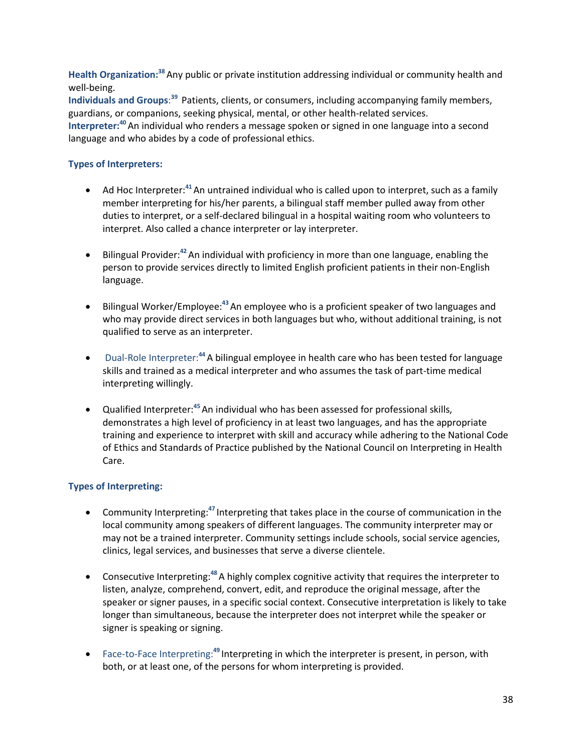Health Organization:<sup>38</sup> Any public or private institution addressing individual or community health and well-being.

**Individuals and Groups**: **<sup>39</sup>** Patients, clients, or consumers, including accompanying family members, guardians, or companions, seeking physical, mental, or other health-related services.

**Interpreter: <sup>40</sup>**An individual who renders a message spoken or signed in one language into a second language and who abides by a code of professional ethics.

#### **Types of Interpreters:**

- Ad Hoc Interpreter:**<sup>41</sup>**An untrained individual who is called upon to interpret, such as a family member interpreting for his/her parents, a bilingual staff member pulled away from other duties to interpret, or a self-declared bilingual in a hospital waiting room who volunteers to interpret. Also called a chance interpreter or lay interpreter.
- Bilingual Provider:<sup>42</sup> An individual with proficiency in more than one language, enabling the person to provide services directly to limited English proficient patients in their non-English language.
- Bilingual Worker/Employee:**<sup>43</sup>**An employee who is a proficient speaker of two languages and who may provide direct services in both languages but who, without additional training, is not qualified to serve as an interpreter.
- Dual-Role Interpreter:<sup>44</sup> A bilingual employee in health care who has been tested for language skills and trained as a medical interpreter and who assumes the task of part-time medical interpreting willingly.
- Qualified Interpreter: **<sup>45</sup>**An individual who has been assessed for professional skills, demonstrates a high level of proficiency in at least two languages, and has the appropriate training and experience to interpret with skill and accuracy while adhering to the National Code of Ethics and Standards of Practice published by the National Council on Interpreting in Health Care.

### **Types of Interpreting:**

- Community Interpreting:<sup>47</sup> Interpreting that takes place in the course of communication in the local community among speakers of different languages. The community interpreter may or may not be a trained interpreter. Community settings include schools, social service agencies, clinics, legal services, and businesses that serve a diverse clientele.
- **•** Consecutive Interpreting:<sup>48</sup> A highly complex cognitive activity that requires the interpreter to listen, analyze, comprehend, convert, edit, and reproduce the original message, after the speaker or signer pauses, in a specific social context. Consecutive interpretation is likely to take longer than simultaneous, because the interpreter does not interpret while the speaker or signer is speaking or signing.
- Face-to-Face Interpreting:<sup>49</sup> Interpreting in which the interpreter is present, in person, with both, or at least one, of the persons for whom interpreting is provided.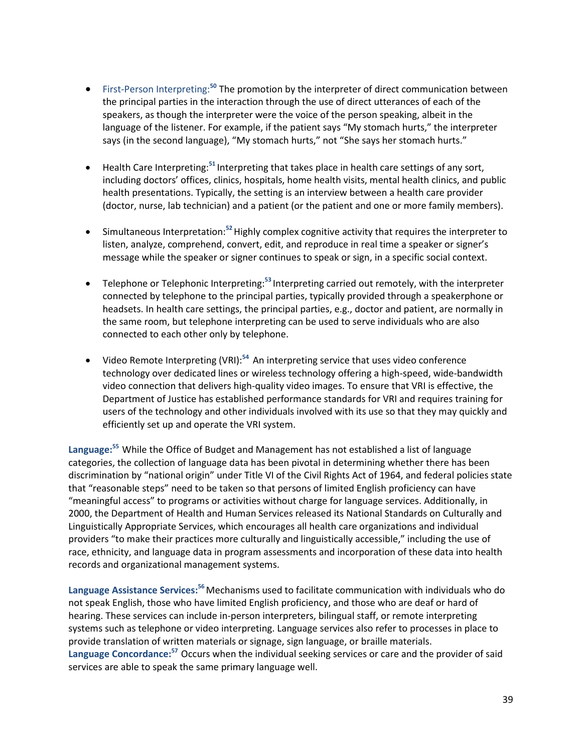- First-Person Interpreting:**<sup>50</sup>** The promotion by the interpreter of direct communication between the principal parties in the interaction through the use of direct utterances of each of the speakers, as though the interpreter were the voice of the person speaking, albeit in the language of the listener. For example, if the patient says "My stomach hurts," the interpreter says (in the second language), "My stomach hurts," not "She says her stomach hurts."
- Health Care Interpreting:**<sup>51</sup>** Interpreting that takes place in health care settings of any sort, including doctors' offices, clinics, hospitals, home health visits, mental health clinics, and public health presentations. Typically, the setting is an interview between a health care provider (doctor, nurse, lab technician) and a patient (or the patient and one or more family members).
- Simultaneous Interpretation:**<sup>52</sup>**Highly complex cognitive activity that requires the interpreter to listen, analyze, comprehend, convert, edit, and reproduce in real time a speaker or signer's message while the speaker or signer continues to speak or sign, in a specific social context.
- Telephone or Telephonic Interpreting:<sup>53</sup> Interpreting carried out remotely, with the interpreter connected by telephone to the principal parties, typically provided through a speakerphone or headsets. In health care settings, the principal parties, e.g., doctor and patient, are normally in the same room, but telephone interpreting can be used to serve individuals who are also connected to each other only by telephone.
- Video Remote Interpreting (VRI):**<sup>54</sup>** An interpreting service that uses video conference technology over dedicated lines or wireless technology offering a high-speed, wide-bandwidth video connection that delivers high-quality video images. To ensure that VRI is effective, the Department of Justice has established performance standards for VRI and requires training for users of the technology and other individuals involved with its use so that they may quickly and efficiently set up and operate the VRI system.

**Language: <sup>55</sup>** While the Office of Budget and Management has not established a list of language categories, the collection of language data has been pivotal in determining whether there has been discrimination by "national origin" under Title VI of the Civil Rights Act of 1964, and federal policies state that "reasonable steps" need to be taken so that persons of limited English proficiency can have "meaningful access" to programs or activities without charge for language services. Additionally, in 2000, the Department of Health and Human Services released its National Standards on Culturally and Linguistically Appropriate Services, which encourages all health care organizations and individual providers "to make their practices more culturally and linguistically accessible," including the use of race, ethnicity, and language data in program assessments and incorporation of these data into health records and organizational management systems.

**Language Assistance Services: <sup>56</sup>**Mechanisms used to facilitate communication with individuals who do not speak English, those who have limited English proficiency, and those who are deaf or hard of hearing. These services can include in-person interpreters, bilingual staff, or remote interpreting systems such as telephone or video interpreting. Language services also refer to processes in place to provide translation of written materials or signage, sign language, or braille materials. Language Concordance:<sup>57</sup> Occurs when the individual seeking services or care and the provider of said services are able to speak the same primary language well.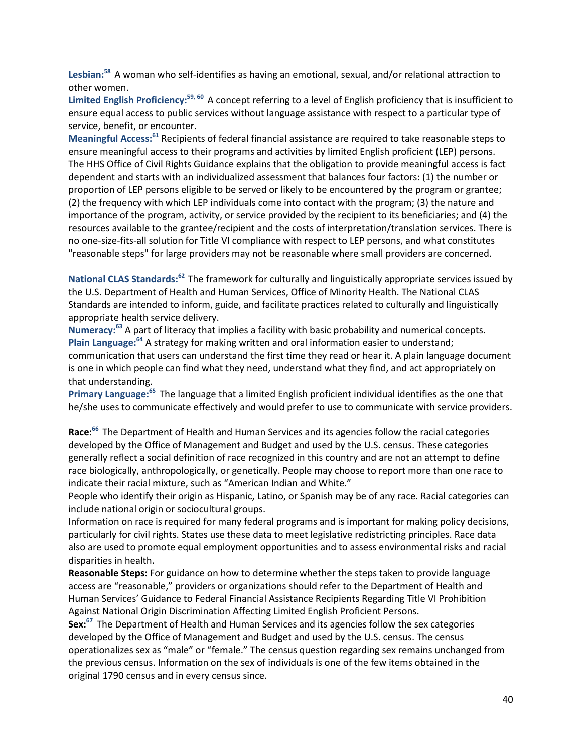**Lesbian: <sup>58</sup>** A woman who self-identifies as having an emotional, sexual, and/or relational attraction to other women.

**Limited English Proficiency: 59, 60** A concept referring to a level of English proficiency that is insufficient to ensure equal access to public services without language assistance with respect to a particular type of service, benefit, or encounter.

Meaningful Access:<sup>61</sup> Recipients of federal financial assistance are required to take reasonable steps to ensure meaningful access to their programs and activities by limited English proficient (LEP) persons. The HHS Office of Civil Rights Guidance explains that the obligation to provide meaningful access is fact dependent and starts with an individualized assessment that balances four factors: (1) the number or proportion of LEP persons eligible to be served or likely to be encountered by the program or grantee; (2) the frequency with which LEP individuals come into contact with the program; (3) the nature and importance of the program, activity, or service provided by the recipient to its beneficiaries; and (4) the resources available to the grantee/recipient and the costs of interpretation/translation services. There is no one-size-fits-all solution for Title VI compliance with respect to LEP persons, and what constitutes "reasonable steps" for large providers may not be reasonable where small providers are concerned.

**National CLAS Standards:62** The framework for culturally and linguistically appropriate services issued by the U.S. Department of Health and Human Services, Office of Minority Health. The National CLAS Standards are intended to inform, guide, and facilitate practices related to culturally and linguistically appropriate health service delivery.

**Numeracy: <sup>63</sup>** A part of literacy that implies a facility with basic probability and numerical concepts. Plain Language:<sup>64</sup> A strategy for making written and oral information easier to understand; communication that users can understand the first time they read or hear it. A plain language document is one in which people can find what they need, understand what they find, and act appropriately on that understanding.

Primary Language:<sup>65</sup> The language that a limited English proficient individual identifies as the one that he/she uses to communicate effectively and would prefer to use to communicate with service providers.

**Race: <sup>66</sup>** The Department of Health and Human Services and its agencies follow the racial categories developed by the Office of Management and Budget and used by the U.S. census. These categories generally reflect a social definition of race recognized in this country and are not an attempt to define race biologically, anthropologically, or genetically. People may choose to report more than one race to indicate their racial mixture, such as "American Indian and White."

People who identify their origin as Hispanic, Latino, or Spanish may be of any race. Racial categories can include national origin or sociocultural groups.

Information on race is required for many federal programs and is important for making policy decisions, particularly for civil rights. States use these data to meet legislative redistricting principles. Race data also are used to promote equal employment opportunities and to assess environmental risks and racial disparities in health.

**Reasonable Steps:** For guidance on how to determine whether the steps taken to provide language access are "reasonable," providers or organizations should refer to the Department of Health and Human Services' Guidance to Federal Financial Assistance Recipients Regarding Title VI Prohibition Against National Origin Discrimination Affecting Limited English Proficient Persons.

**Sex: <sup>67</sup>** The Department of Health and Human Services and its agencies follow the sex categories developed by the Office of Management and Budget and used by the U.S. census. The census operationalizes sex as "male" or "female." The census question regarding sex remains unchanged from the previous census. Information on the sex of individuals is one of the few items obtained in the original 1790 census and in every census since.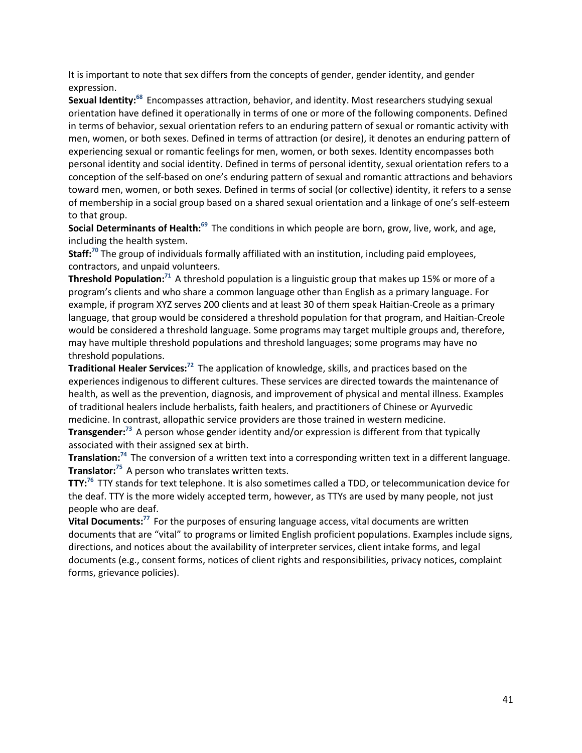It is important to note that sex differs from the concepts of gender, gender identity, and gender expression.

Sexual Identity:<sup>68</sup> Encompasses attraction, behavior, and identity. Most researchers studying sexual orientation have defined it operationally in terms of one or more of the following components. Defined in terms of behavior, sexual orientation refers to an enduring pattern of sexual or romantic activity with men, women, or both sexes. Defined in terms of attraction (or desire), it denotes an enduring pattern of experiencing sexual or romantic feelings for men, women, or both sexes. Identity encompasses both personal identity and social identity. Defined in terms of personal identity, sexual orientation refers to a conception of the self-based on one's enduring pattern of sexual and romantic attractions and behaviors toward men, women, or both sexes. Defined in terms of social (or collective) identity, it refers to a sense of membership in a social group based on a shared sexual orientation and a linkage of one's self-esteem to that group.

**Social Determinants of Health:**<sup>69</sup> The conditions in which people are born, grow, live, work, and age, including the health system.

**Staff: <sup>70</sup>** The group of individuals formally affiliated with an institution, including paid employees, contractors, and unpaid volunteers.

**Threshold Population:**<sup>71</sup> A threshold population is a linguistic group that makes up 15% or more of a program's clients and who share a common language other than English as a primary language. For example, if program XYZ serves 200 clients and at least 30 of them speak Haitian-Creole as a primary language, that group would be considered a threshold population for that program, and Haitian-Creole would be considered a threshold language. Some programs may target multiple groups and, therefore, may have multiple threshold populations and threshold languages; some programs may have no threshold populations.

**Traditional Healer Services:**<sup>72</sup> The application of knowledge, skills, and practices based on the experiences indigenous to different cultures. These services are directed towards the maintenance of health, as well as the prevention, diagnosis, and improvement of physical and mental illness. Examples of traditional healers include herbalists, faith healers, and practitioners of Chinese or Ayurvedic medicine. In contrast, allopathic service providers are those trained in western medicine.

**Transgender: <sup>73</sup>** A person whose gender identity and/or expression is different from that typically associated with their assigned sex at birth.

**Translation: <sup>74</sup>** The conversion of a written text into a corresponding written text in a different language. **Translator: <sup>75</sup>** A person who translates written texts.

**TTY: <sup>76</sup>** TTY stands for text telephone. It is also sometimes called a TDD, or telecommunication device for the deaf. TTY is the more widely accepted term, however, as TTYs are used by many people, not just people who are deaf.

**Vital Documents: <sup>77</sup>** For the purposes of ensuring language access, vital documents are written documents that are "vital" to programs or limited English proficient populations. Examples include signs, directions, and notices about the availability of interpreter services, client intake forms, and legal documents (e.g., consent forms, notices of client rights and responsibilities, privacy notices, complaint forms, grievance policies).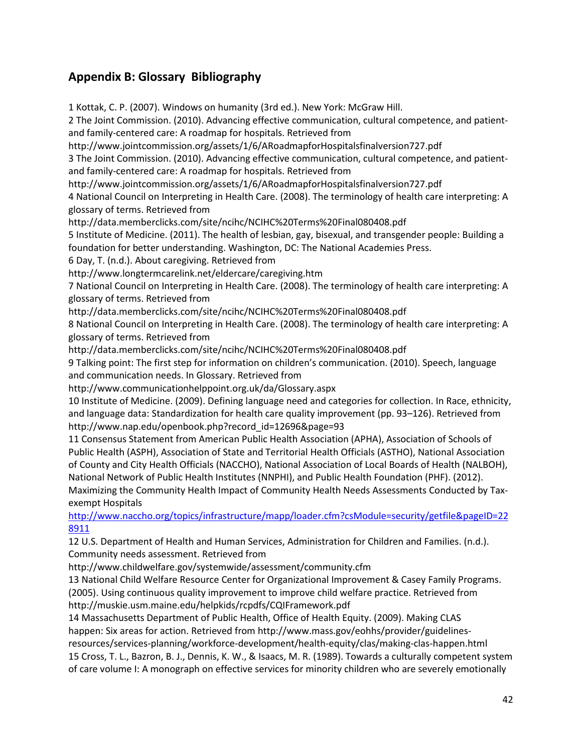### **Appendix B: Glossary Bibliography**

1 Kottak, C. P. (2007). Windows on humanity (3rd ed.). New York: McGraw Hill. 2 The Joint Commission. (2010). Advancing effective communication, cultural competence, and patientand family-centered care: A roadmap for hospitals. Retrieved from http://www.jointcommission.org/assets/1/6/ARoadmapforHospitalsfinalversion727.pdf 3 The Joint Commission. (2010). Advancing effective communication, cultural competence, and patientand family-centered care: A roadmap for hospitals. Retrieved from http://www.jointcommission.org/assets/1/6/ARoadmapforHospitalsfinalversion727.pdf 4 National Council on Interpreting in Health Care. (2008). The terminology of health care interpreting: A glossary of terms. Retrieved from http://data.memberclicks.com/site/ncihc/NCIHC%20Terms%20Final080408.pdf 5 Institute of Medicine. (2011). The health of lesbian, gay, bisexual, and transgender people: Building a foundation for better understanding. Washington, DC: The National Academies Press. 6 Day, T. (n.d.). About caregiving. Retrieved from http://www.longtermcarelink.net/eldercare/caregiving.htm 7 National Council on Interpreting in Health Care. (2008). The terminology of health care interpreting: A glossary of terms. Retrieved from http://data.memberclicks.com/site/ncihc/NCIHC%20Terms%20Final080408.pdf 8 National Council on Interpreting in Health Care. (2008). The terminology of health care interpreting: A glossary of terms. Retrieved from http://data.memberclicks.com/site/ncihc/NCIHC%20Terms%20Final080408.pdf 9 Talking point: The first step for information on children's communication. (2010). Speech, language and communication needs. In Glossary. Retrieved from http://www.communicationhelppoint.org.uk/da/Glossary.aspx 10 Institute of Medicine. (2009). Defining language need and categories for collection. In Race, ethnicity, and language data: Standardization for health care quality improvement (pp. 93–126). Retrieved from http://www.nap.edu/openbook.php?record\_id=12696&page=93 11 Consensus Statement from American Public Health Association (APHA), Association of Schools of Public Health (ASPH), Association of State and Territorial Health Officials (ASTHO), National Association of County and City Health Officials (NACCHO), National Association of Local Boards of Health (NALBOH), National Network of Public Health Institutes (NNPHI), and Public Health Foundation (PHF). (2012). Maximizing the Community Health Impact of Community Health Needs Assessments Conducted by Taxexempt Hospitals [http://www.naccho.org/topics/infrastructure/mapp/loader.cfm?csModule=security/getfile&pageID=22](http://www.naccho.org/topics/infrastructure/mapp/loader.cfm?csModule=security/getfile&pageID=228911) [8911](http://www.naccho.org/topics/infrastructure/mapp/loader.cfm?csModule=security/getfile&pageID=228911) 12 U.S. Department of Health and Human Services, Administration for Children and Families. (n.d.). Community needs assessment. Retrieved from http://www.childwelfare.gov/systemwide/assessment/community.cfm 13 National Child Welfare Resource Center for Organizational Improvement & Casey Family Programs. (2005). Using continuous quality improvement to improve child welfare practice. Retrieved from http://muskie.usm.maine.edu/helpkids/rcpdfs/CQIFramework.pdf 14 Massachusetts Department of Public Health, Office of Health Equity. (2009). Making CLAS happen: Six areas for action. Retrieved from http://www.mass.gov/eohhs/provider/guidelinesresources/services-planning/workforce-development/health-equity/clas/making-clas-happen.html

15 Cross, T. L., Bazron, B. J., Dennis, K. W., & Isaacs, M. R. (1989). Towards a culturally competent system of care volume I: A monograph on effective services for minority children who are severely emotionally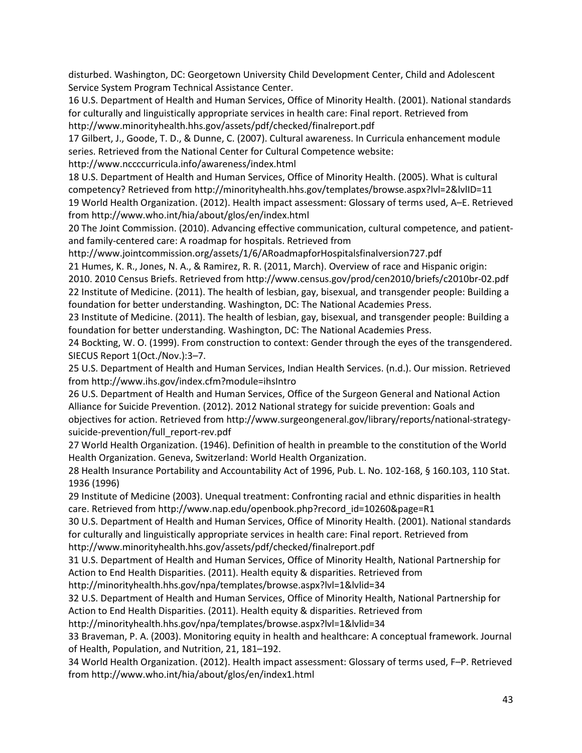disturbed. Washington, DC: Georgetown University Child Development Center, Child and Adolescent Service System Program Technical Assistance Center.

16 U.S. Department of Health and Human Services, Office of Minority Health. (2001). National standards for culturally and linguistically appropriate services in health care: Final report. Retrieved from http://www.minorityhealth.hhs.gov/assets/pdf/checked/finalreport.pdf

17 Gilbert, J., Goode, T. D., & Dunne, C. (2007). Cultural awareness. In Curricula enhancement module series. Retrieved from the National Center for Cultural Competence website:

http://www.nccccurricula.info/awareness/index.html

18 U.S. Department of Health and Human Services, Office of Minority Health. (2005). What is cultural competency? Retrieved from http://minorityhealth.hhs.gov/templates/browse.aspx?lvl=2&lvlID=11 19 World Health Organization. (2012). Health impact assessment: Glossary of terms used, A–E. Retrieved from http://www.who.int/hia/about/glos/en/index.html

20 The Joint Commission. (2010). Advancing effective communication, cultural competence, and patientand family-centered care: A roadmap for hospitals. Retrieved from

http://www.jointcommission.org/assets/1/6/ARoadmapforHospitalsfinalversion727.pdf

21 Humes, K. R., Jones, N. A., & Ramirez, R. R. (2011, March). Overview of race and Hispanic origin:

2010. 2010 Census Briefs. Retrieved from http://www.census.gov/prod/cen2010/briefs/c2010br-02.pdf 22 Institute of Medicine. (2011). The health of lesbian, gay, bisexual, and transgender people: Building a foundation for better understanding. Washington, DC: The National Academies Press.

23 Institute of Medicine. (2011). The health of lesbian, gay, bisexual, and transgender people: Building a foundation for better understanding. Washington, DC: The National Academies Press.

24 Bockting, W. O. (1999). From construction to context: Gender through the eyes of the transgendered. SIECUS Report 1(Oct./Nov.):3–7.

25 U.S. Department of Health and Human Services, Indian Health Services. (n.d.). Our mission. Retrieved from http://www.ihs.gov/index.cfm?module=ihsIntro

26 U.S. Department of Health and Human Services, Office of the Surgeon General and National Action Alliance for Suicide Prevention. (2012). 2012 National strategy for suicide prevention: Goals and objectives for action. Retrieved from http://www.surgeongeneral.gov/library/reports/national-strategysuicide-prevention/full\_report-rev.pdf

27 World Health Organization. (1946). Definition of health in preamble to the constitution of the World Health Organization. Geneva, Switzerland: World Health Organization.

28 Health Insurance Portability and Accountability Act of 1996, Pub. L. No. 102-168, § 160.103, 110 Stat. 1936 (1996)

29 Institute of Medicine (2003). Unequal treatment: Confronting racial and ethnic disparities in health care. Retrieved from http://www.nap.edu/openbook.php?record\_id=10260&page=R1

30 U.S. Department of Health and Human Services, Office of Minority Health. (2001). National standards for culturally and linguistically appropriate services in health care: Final report. Retrieved from http://www.minorityhealth.hhs.gov/assets/pdf/checked/finalreport.pdf

31 U.S. Department of Health and Human Services, Office of Minority Health, National Partnership for

Action to End Health Disparities. (2011). Health equity & disparities. Retrieved from

http://minorityhealth.hhs.gov/npa/templates/browse.aspx?lvl=1&lvlid=34

32 U.S. Department of Health and Human Services, Office of Minority Health, National Partnership for Action to End Health Disparities. (2011). Health equity & disparities. Retrieved from

http://minorityhealth.hhs.gov/npa/templates/browse.aspx?lvl=1&lvlid=34

33 Braveman, P. A. (2003). Monitoring equity in health and healthcare: A conceptual framework. Journal of Health, Population, and Nutrition, 21, 181–192.

34 World Health Organization. (2012). Health impact assessment: Glossary of terms used, F–P. Retrieved from http://www.who.int/hia/about/glos/en/index1.html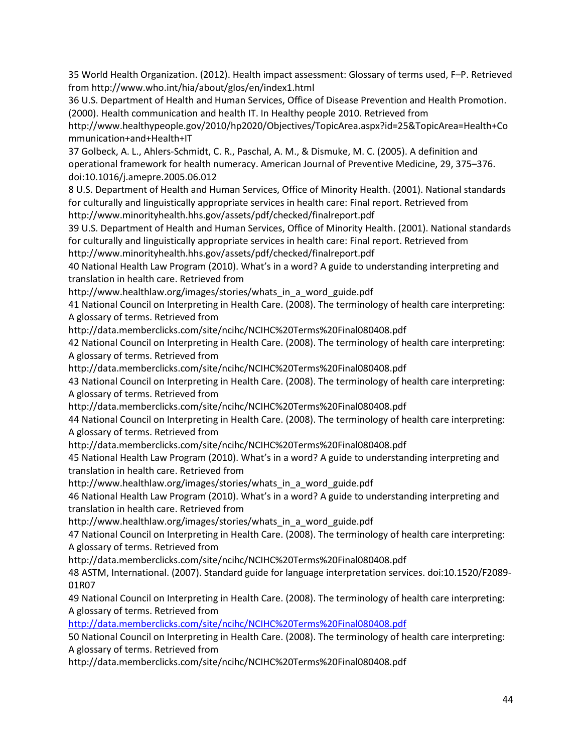35 World Health Organization. (2012). Health impact assessment: Glossary of terms used, F–P. Retrieved from http://www.who.int/hia/about/glos/en/index1.html

36 U.S. Department of Health and Human Services, Office of Disease Prevention and Health Promotion. (2000). Health communication and health IT. In Healthy people 2010. Retrieved from

http://www.healthypeople.gov/2010/hp2020/Objectives/TopicArea.aspx?id=25&TopicArea=Health+Co mmunication+and+Health+IT

37 Golbeck, A. L., Ahlers-Schmidt, C. R., Paschal, A. M., & Dismuke, M. C. (2005). A definition and operational framework for health numeracy. American Journal of Preventive Medicine, 29, 375–376. doi:10.1016/j.amepre.2005.06.012

8 U.S. Department of Health and Human Services, Office of Minority Health. (2001). National standards for culturally and linguistically appropriate services in health care: Final report. Retrieved from http://www.minorityhealth.hhs.gov/assets/pdf/checked/finalreport.pdf

39 U.S. Department of Health and Human Services, Office of Minority Health. (2001). National standards for culturally and linguistically appropriate services in health care: Final report. Retrieved from http://www.minorityhealth.hhs.gov/assets/pdf/checked/finalreport.pdf

40 National Health Law Program (2010). What's in a word? A guide to understanding interpreting and translation in health care. Retrieved from

http://www.healthlaw.org/images/stories/whats\_in\_a\_word\_guide.pdf

41 National Council on Interpreting in Health Care. (2008). The terminology of health care interpreting: A glossary of terms. Retrieved from

http://data.memberclicks.com/site/ncihc/NCIHC%20Terms%20Final080408.pdf

42 National Council on Interpreting in Health Care. (2008). The terminology of health care interpreting: A glossary of terms. Retrieved from

http://data.memberclicks.com/site/ncihc/NCIHC%20Terms%20Final080408.pdf

43 National Council on Interpreting in Health Care. (2008). The terminology of health care interpreting: A glossary of terms. Retrieved from

http://data.memberclicks.com/site/ncihc/NCIHC%20Terms%20Final080408.pdf

44 National Council on Interpreting in Health Care. (2008). The terminology of health care interpreting: A glossary of terms. Retrieved from

http://data.memberclicks.com/site/ncihc/NCIHC%20Terms%20Final080408.pdf

45 National Health Law Program (2010). What's in a word? A guide to understanding interpreting and translation in health care. Retrieved from

http://www.healthlaw.org/images/stories/whats\_in\_a\_word\_guide.pdf

46 National Health Law Program (2010). What's in a word? A guide to understanding interpreting and translation in health care. Retrieved from

http://www.healthlaw.org/images/stories/whats\_in\_a\_word\_guide.pdf

47 National Council on Interpreting in Health Care. (2008). The terminology of health care interpreting: A glossary of terms. Retrieved from

http://data.memberclicks.com/site/ncihc/NCIHC%20Terms%20Final080408.pdf

48 ASTM, International. (2007). Standard guide for language interpretation services. doi:10.1520/F2089- 01R07

49 National Council on Interpreting in Health Care. (2008). The terminology of health care interpreting: A glossary of terms. Retrieved from

<http://data.memberclicks.com/site/ncihc/NCIHC%20Terms%20Final080408.pdf>

50 National Council on Interpreting in Health Care. (2008). The terminology of health care interpreting: A glossary of terms. Retrieved from

http://data.memberclicks.com/site/ncihc/NCIHC%20Terms%20Final080408.pdf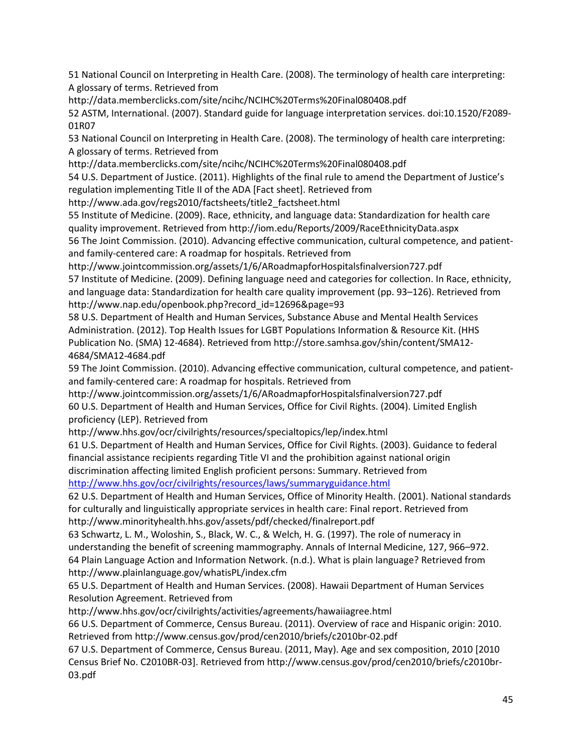51 National Council on Interpreting in Health Care. (2008). The terminology of health care interpreting: A glossary of terms. Retrieved from

http://data.memberclicks.com/site/ncihc/NCIHC%20Terms%20Final080408.pdf

52 ASTM, International. (2007). Standard guide for language interpretation services. doi:10.1520/F2089- 01R07

53 National Council on Interpreting in Health Care. (2008). The terminology of health care interpreting: A glossary of terms. Retrieved from

http://data.memberclicks.com/site/ncihc/NCIHC%20Terms%20Final080408.pdf

54 U.S. Department of Justice. (2011). Highlights of the final rule to amend the Department of Justice's regulation implementing Title II of the ADA [Fact sheet]. Retrieved from

http://www.ada.gov/regs2010/factsheets/title2\_factsheet.html

55 Institute of Medicine. (2009). Race, ethnicity, and language data: Standardization for health care quality improvement. Retrieved from http://iom.edu/Reports/2009/RaceEthnicityData.aspx

56 The Joint Commission. (2010). Advancing effective communication, cultural competence, and patientand family-centered care: A roadmap for hospitals. Retrieved from

http://www.jointcommission.org/assets/1/6/ARoadmapforHospitalsfinalversion727.pdf 57 Institute of Medicine. (2009). Defining language need and categories for collection. In Race, ethnicity, and language data: Standardization for health care quality improvement (pp. 93–126). Retrieved from http://www.nap.edu/openbook.php?record\_id=12696&page=93

58 U.S. Department of Health and Human Services, Substance Abuse and Mental Health Services Administration. (2012). Top Health Issues for LGBT Populations Information & Resource Kit. (HHS Publication No. (SMA) 12-4684). Retrieved from http://store.samhsa.gov/shin/content/SMA12- 4684/SMA12-4684.pdf

59 The Joint Commission. (2010). Advancing effective communication, cultural competence, and patientand family-centered care: A roadmap for hospitals. Retrieved from

http://www.jointcommission.org/assets/1/6/ARoadmapforHospitalsfinalversion727.pdf 60 U.S. Department of Health and Human Services, Office for Civil Rights. (2004). Limited English proficiency (LEP). Retrieved from

http://www.hhs.gov/ocr/civilrights/resources/specialtopics/lep/index.html

61 U.S. Department of Health and Human Services, Office for Civil Rights. (2003). Guidance to federal financial assistance recipients regarding Title VI and the prohibition against national origin discrimination affecting limited English proficient persons: Summary. Retrieved from <http://www.hhs.gov/ocr/civilrights/resources/laws/summaryguidance.html>

62 U.S. Department of Health and Human Services, Office of Minority Health. (2001). National standards for culturally and linguistically appropriate services in health care: Final report. Retrieved from http://www.minorityhealth.hhs.gov/assets/pdf/checked/finalreport.pdf

63 Schwartz, L. M., Woloshin, S., Black, W. C., & Welch, H. G. (1997). The role of numeracy in understanding the benefit of screening mammography. Annals of Internal Medicine, 127, 966–972. 64 Plain Language Action and Information Network. (n.d.). What is plain language? Retrieved from http://www.plainlanguage.gov/whatisPL/index.cfm

65 U.S. Department of Health and Human Services. (2008). Hawaii Department of Human Services Resolution Agreement. Retrieved from

http://www.hhs.gov/ocr/civilrights/activities/agreements/hawaiiagree.html

66 U.S. Department of Commerce, Census Bureau. (2011). Overview of race and Hispanic origin: 2010. Retrieved from http://www.census.gov/prod/cen2010/briefs/c2010br-02.pdf

67 U.S. Department of Commerce, Census Bureau. (2011, May). Age and sex composition, 2010 [2010 Census Brief No. C2010BR-03]. Retrieved from http://www.census.gov/prod/cen2010/briefs/c2010br-03.pdf